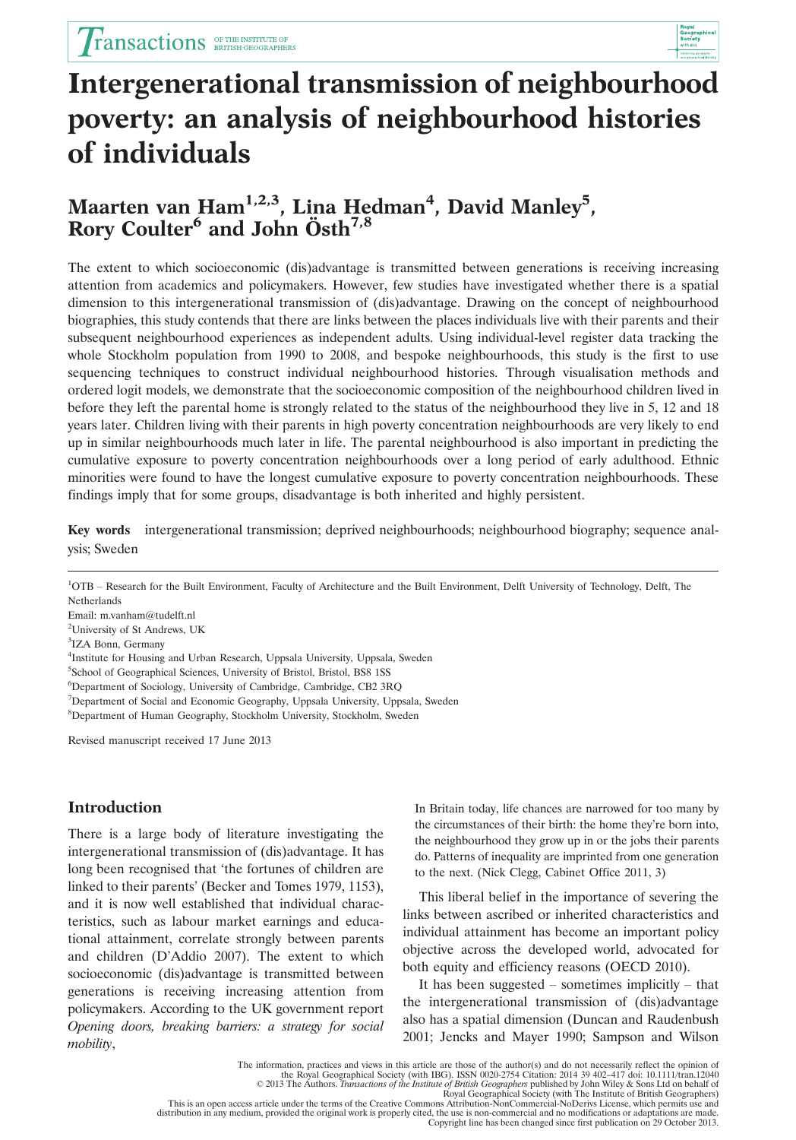

# Intergenerational transmission of neighbourhood poverty: an analysis of neighbourhood histories of individuals

# Maarten van Ham<sup>1,2,3</sup>, Lina Hedman<sup>4</sup>, David Manley<sup>5</sup>, Rory Coulter<sup>6</sup> and John Östh<sup>7,8</sup>

The extent to which socioeconomic (dis)advantage is transmitted between generations is receiving increasing attention from academics and policymakers. However, few studies have investigated whether there is a spatial dimension to this intergenerational transmission of (dis)advantage. Drawing on the concept of neighbourhood biographies, this study contends that there are links between the places individuals live with their parents and their subsequent neighbourhood experiences as independent adults. Using individual-level register data tracking the whole Stockholm population from 1990 to 2008, and bespoke neighbourhoods, this study is the first to use sequencing techniques to construct individual neighbourhood histories. Through visualisation methods and ordered logit models, we demonstrate that the socioeconomic composition of the neighbourhood children lived in before they left the parental home is strongly related to the status of the neighbourhood they live in 5, 12 and 18 years later. Children living with their parents in high poverty concentration neighbourhoods are very likely to end up in similar neighbourhoods much later in life. The parental neighbourhood is also important in predicting the cumulative exposure to poverty concentration neighbourhoods over a long period of early adulthood. Ethnic minorities were found to have the longest cumulative exposure to poverty concentration neighbourhoods. These findings imply that for some groups, disadvantage is both inherited and highly persistent.

Key words intergenerational transmission; deprived neighbourhoods; neighbourhood biography; sequence analysis; Sweden

<sup>1</sup>OTB – Research for the Built Environment, Faculty of Architecture and the Built Environment, Delft University of Technology, Delft, The Netherlands

Email: m.vanham@tudelft.nl

2 University of St Andrews, UK

<sup>3</sup>IZA Bonn, Germany

6 Department of Sociology, University of Cambridge, Cambridge, CB2 3RQ

8 Department of Human Geography, Stockholm University, Stockholm, Sweden

Revised manuscript received 17 June 2013

# Introduction

There is a large body of literature investigating the intergenerational transmission of (dis)advantage. It has long been recognised that 'the fortunes of children are linked to their parents' (Becker and Tomes 1979, 1153), and it is now well established that individual characteristics, such as labour market earnings and educational attainment, correlate strongly between parents and children (D'Addio 2007). The extent to which socioeconomic (dis)advantage is transmitted between generations is receiving increasing attention from policymakers. According to the UK government report Opening doors, breaking barriers: a strategy for social mobility,

In Britain today, life chances are narrowed for too many by the circumstances of their birth: the home they're born into, the neighbourhood they grow up in or the jobs their parents do. Patterns of inequality are imprinted from one generation to the next. (Nick Clegg, Cabinet Office 2011, 3)

This liberal belief in the importance of severing the links between ascribed or inherited characteristics and individual attainment has become an important policy objective across the developed world, advocated for both equity and efficiency reasons (OECD 2010).

It has been suggested – sometimes implicitly – that the intergenerational transmission of (dis)advantage also has a spatial dimension (Duncan and Raudenbush 2001; Jencks and Mayer 1990; Sampson and Wilson

Copyright line has been changed since first publication on 29 October 2013.

<sup>4</sup> Institute for Housing and Urban Research, Uppsala University, Uppsala, Sweden

<sup>5</sup> School of Geographical Sciences, University of Bristol, Bristol, BS8 1SS

<sup>&</sup>lt;sup>7</sup>Department of Social and Economic Geography, Uppsala University, Uppsala, Sweden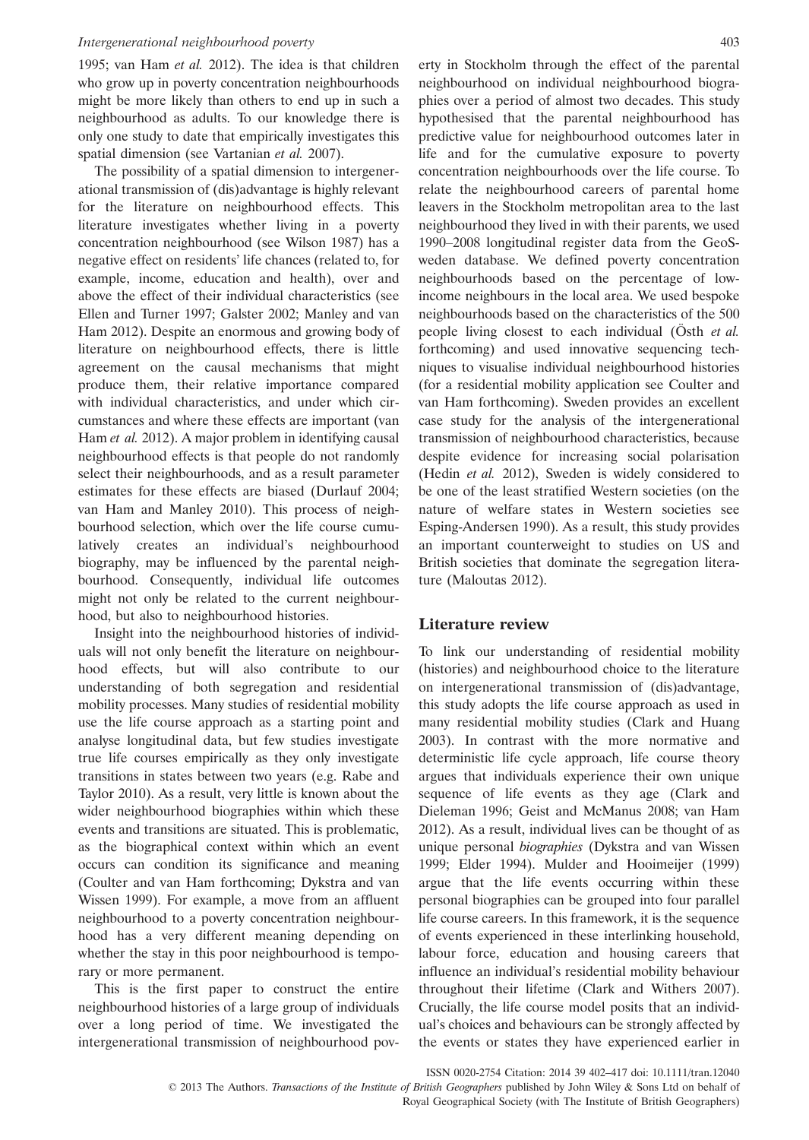1995; van Ham et al. 2012). The idea is that children who grow up in poverty concentration neighbourhoods might be more likely than others to end up in such a neighbourhood as adults. To our knowledge there is only one study to date that empirically investigates this spatial dimension (see Vartanian et al. 2007).

The possibility of a spatial dimension to intergenerational transmission of (dis)advantage is highly relevant for the literature on neighbourhood effects. This literature investigates whether living in a poverty concentration neighbourhood (see Wilson 1987) has a negative effect on residents' life chances (related to, for example, income, education and health), over and above the effect of their individual characteristics (see Ellen and Turner 1997; Galster 2002; Manley and van Ham 2012). Despite an enormous and growing body of literature on neighbourhood effects, there is little agreement on the causal mechanisms that might produce them, their relative importance compared with individual characteristics, and under which circumstances and where these effects are important (van Ham et al. 2012). A major problem in identifying causal neighbourhood effects is that people do not randomly select their neighbourhoods, and as a result parameter estimates for these effects are biased (Durlauf 2004; van Ham and Manley 2010). This process of neighbourhood selection, which over the life course cumulatively creates an individual's neighbourhood biography, may be influenced by the parental neighbourhood. Consequently, individual life outcomes might not only be related to the current neighbourhood, but also to neighbourhood histories.

Insight into the neighbourhood histories of individuals will not only benefit the literature on neighbourhood effects, but will also contribute to our understanding of both segregation and residential mobility processes. Many studies of residential mobility use the life course approach as a starting point and analyse longitudinal data, but few studies investigate true life courses empirically as they only investigate transitions in states between two years (e.g. Rabe and Taylor 2010). As a result, very little is known about the wider neighbourhood biographies within which these events and transitions are situated. This is problematic, as the biographical context within which an event occurs can condition its significance and meaning (Coulter and van Ham forthcoming; Dykstra and van Wissen 1999). For example, a move from an affluent neighbourhood to a poverty concentration neighbourhood has a very different meaning depending on whether the stay in this poor neighbourhood is temporary or more permanent.

This is the first paper to construct the entire neighbourhood histories of a large group of individuals over a long period of time. We investigated the intergenerational transmission of neighbourhood poverty in Stockholm through the effect of the parental neighbourhood on individual neighbourhood biographies over a period of almost two decades. This study hypothesised that the parental neighbourhood has predictive value for neighbourhood outcomes later in life and for the cumulative exposure to poverty concentration neighbourhoods over the life course. To relate the neighbourhood careers of parental home leavers in the Stockholm metropolitan area to the last neighbourhood they lived in with their parents, we used 1990–2008 longitudinal register data from the GeoSweden database. We defined poverty concentration neighbourhoods based on the percentage of lowincome neighbours in the local area. We used bespoke neighbourhoods based on the characteristics of the 500 people living closest to each individual (Östh et al. forthcoming) and used innovative sequencing techniques to visualise individual neighbourhood histories (for a residential mobility application see Coulter and van Ham forthcoming). Sweden provides an excellent case study for the analysis of the intergenerational transmission of neighbourhood characteristics, because despite evidence for increasing social polarisation (Hedin et al. 2012), Sweden is widely considered to be one of the least stratified Western societies (on the nature of welfare states in Western societies see Esping-Andersen 1990). As a result, this study provides an important counterweight to studies on US and British societies that dominate the segregation literature (Maloutas 2012).

#### Literature review

To link our understanding of residential mobility (histories) and neighbourhood choice to the literature on intergenerational transmission of (dis)advantage, this study adopts the life course approach as used in many residential mobility studies (Clark and Huang 2003). In contrast with the more normative and deterministic life cycle approach, life course theory argues that individuals experience their own unique sequence of life events as they age (Clark and Dieleman 1996; Geist and McManus 2008; van Ham 2012). As a result, individual lives can be thought of as unique personal biographies (Dykstra and van Wissen 1999; Elder 1994). Mulder and Hooimeijer (1999) argue that the life events occurring within these personal biographies can be grouped into four parallel life course careers. In this framework, it is the sequence of events experienced in these interlinking household, labour force, education and housing careers that influence an individual's residential mobility behaviour throughout their lifetime (Clark and Withers 2007). Crucially, the life course model posits that an individual's choices and behaviours can be strongly affected by the events or states they have experienced earlier in

© 2013 The Authors. Transactions of the Institute of British Geographers published by John Wiley & Sons Ltd on behalf of Royal Geographical Society (with The Institute of British Geographers)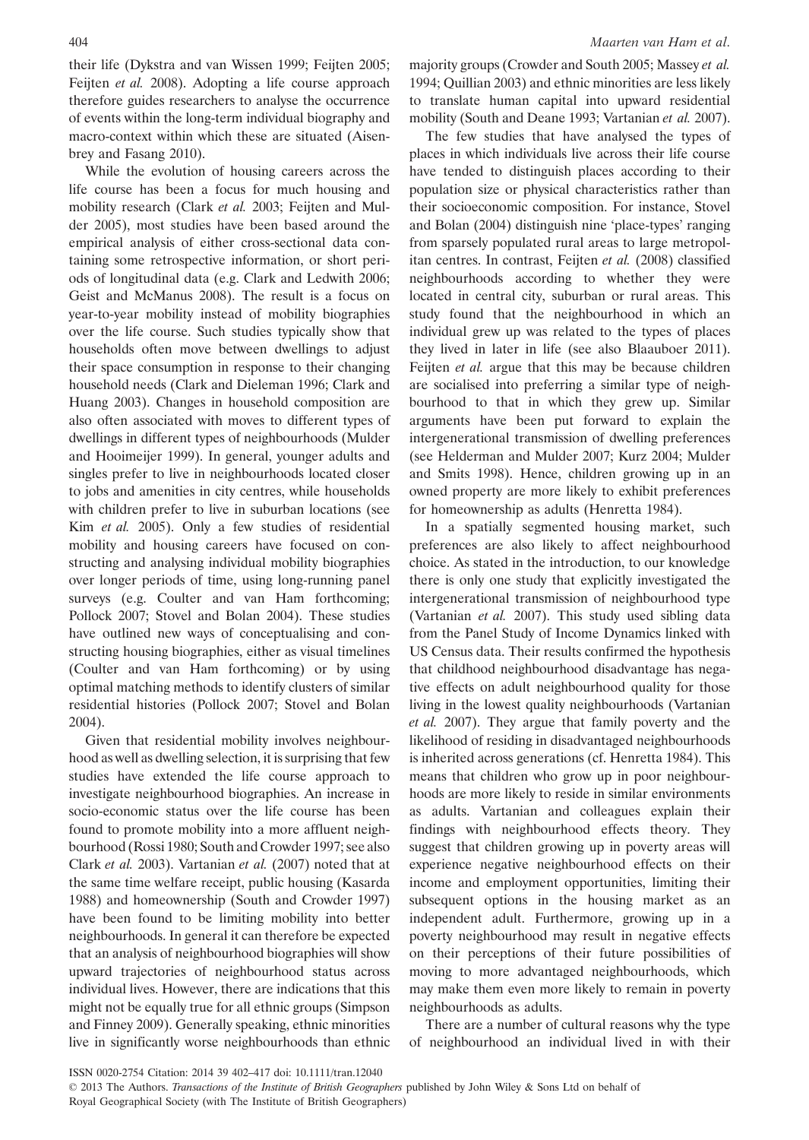their life (Dykstra and van Wissen 1999; Feijten 2005; Feijten et al. 2008). Adopting a life course approach therefore guides researchers to analyse the occurrence of events within the long-term individual biography and macro-context within which these are situated (Aisenbrey and Fasang 2010).

While the evolution of housing careers across the life course has been a focus for much housing and mobility research (Clark et al. 2003; Feijten and Mulder 2005), most studies have been based around the empirical analysis of either cross-sectional data containing some retrospective information, or short periods of longitudinal data (e.g. Clark and Ledwith 2006; Geist and McManus 2008). The result is a focus on year-to-year mobility instead of mobility biographies over the life course. Such studies typically show that households often move between dwellings to adjust their space consumption in response to their changing household needs (Clark and Dieleman 1996; Clark and Huang 2003). Changes in household composition are also often associated with moves to different types of dwellings in different types of neighbourhoods (Mulder and Hooimeijer 1999). In general, younger adults and singles prefer to live in neighbourhoods located closer to jobs and amenities in city centres, while households with children prefer to live in suburban locations (see Kim et al. 2005). Only a few studies of residential mobility and housing careers have focused on constructing and analysing individual mobility biographies over longer periods of time, using long-running panel surveys (e.g. Coulter and van Ham forthcoming; Pollock 2007; Stovel and Bolan 2004). These studies have outlined new ways of conceptualising and constructing housing biographies, either as visual timelines (Coulter and van Ham forthcoming) or by using optimal matching methods to identify clusters of similar residential histories (Pollock 2007; Stovel and Bolan 2004).

Given that residential mobility involves neighbourhood as well as dwelling selection, it is surprising that few studies have extended the life course approach to investigate neighbourhood biographies. An increase in socio-economic status over the life course has been found to promote mobility into a more affluent neighbourhood (Rossi 1980; South and Crowder 1997; see also Clark et al. 2003). Vartanian et al. (2007) noted that at the same time welfare receipt, public housing (Kasarda 1988) and homeownership (South and Crowder 1997) have been found to be limiting mobility into better neighbourhoods. In general it can therefore be expected that an analysis of neighbourhood biographies will show upward trajectories of neighbourhood status across individual lives. However, there are indications that this might not be equally true for all ethnic groups (Simpson and Finney 2009). Generally speaking, ethnic minorities live in significantly worse neighbourhoods than ethnic

majority groups (Crowder and South 2005; Massey et al. 1994; Quillian 2003) and ethnic minorities are less likely to translate human capital into upward residential mobility (South and Deane 1993; Vartanian et al. 2007).

The few studies that have analysed the types of places in which individuals live across their life course have tended to distinguish places according to their population size or physical characteristics rather than their socioeconomic composition. For instance, Stovel and Bolan (2004) distinguish nine 'place-types' ranging from sparsely populated rural areas to large metropolitan centres. In contrast, Feijten et al. (2008) classified neighbourhoods according to whether they were located in central city, suburban or rural areas. This study found that the neighbourhood in which an individual grew up was related to the types of places they lived in later in life (see also Blaauboer 2011). Feijten *et al.* argue that this may be because children are socialised into preferring a similar type of neighbourhood to that in which they grew up. Similar arguments have been put forward to explain the intergenerational transmission of dwelling preferences (see Helderman and Mulder 2007; Kurz 2004; Mulder and Smits 1998). Hence, children growing up in an owned property are more likely to exhibit preferences for homeownership as adults (Henretta 1984).

In a spatially segmented housing market, such preferences are also likely to affect neighbourhood choice. As stated in the introduction, to our knowledge there is only one study that explicitly investigated the intergenerational transmission of neighbourhood type (Vartanian et al. 2007). This study used sibling data from the Panel Study of Income Dynamics linked with US Census data. Their results confirmed the hypothesis that childhood neighbourhood disadvantage has negative effects on adult neighbourhood quality for those living in the lowest quality neighbourhoods (Vartanian et al. 2007). They argue that family poverty and the likelihood of residing in disadvantaged neighbourhoods is inherited across generations (cf. Henretta 1984). This means that children who grow up in poor neighbourhoods are more likely to reside in similar environments as adults. Vartanian and colleagues explain their findings with neighbourhood effects theory. They suggest that children growing up in poverty areas will experience negative neighbourhood effects on their income and employment opportunities, limiting their subsequent options in the housing market as an independent adult. Furthermore, growing up in a poverty neighbourhood may result in negative effects on their perceptions of their future possibilities of moving to more advantaged neighbourhoods, which may make them even more likely to remain in poverty neighbourhoods as adults.

There are a number of cultural reasons why the type of neighbourhood an individual lived in with their

ISSN 0020-2754 Citation: 2014 39 402–417 doi: 10.1111/tran.12040

<sup>© 2013</sup> The Authors. Transactions of the Institute of British Geographers published by John Wiley & Sons Ltd on behalf of Royal Geographical Society (with The Institute of British Geographers)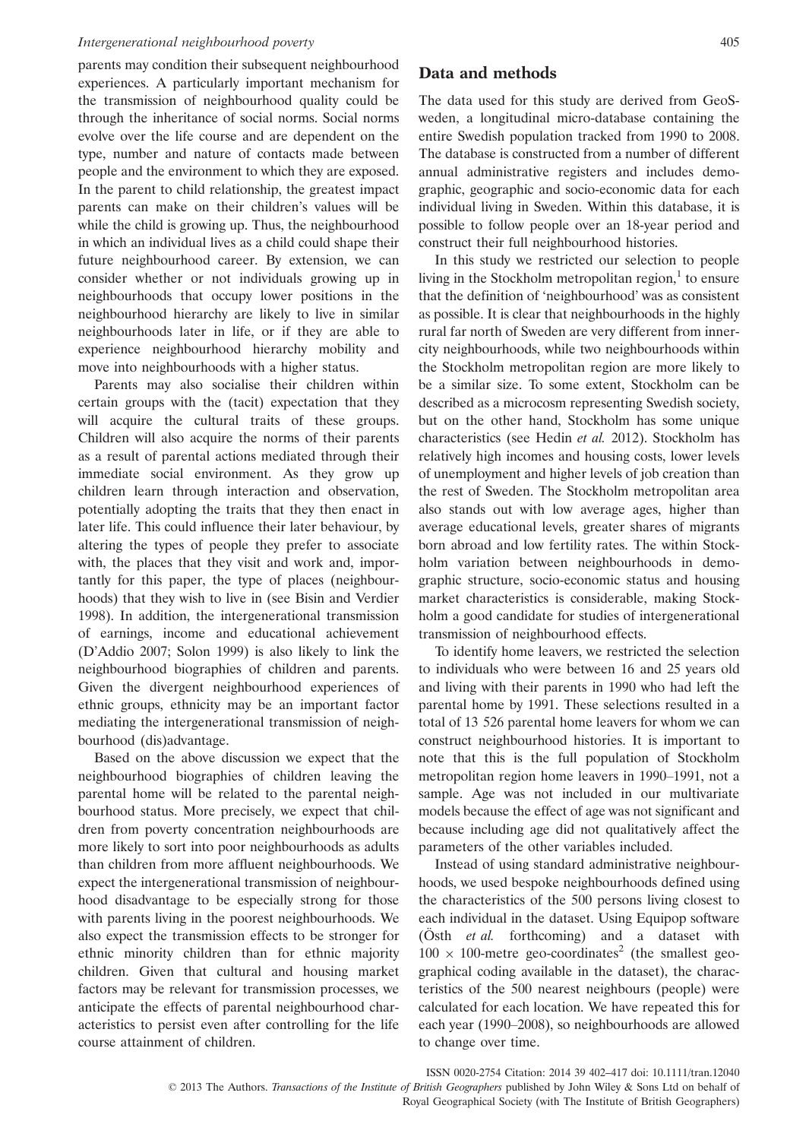parents may condition their subsequent neighbourhood experiences. A particularly important mechanism for the transmission of neighbourhood quality could be through the inheritance of social norms. Social norms evolve over the life course and are dependent on the type, number and nature of contacts made between people and the environment to which they are exposed. In the parent to child relationship, the greatest impact parents can make on their children's values will be while the child is growing up. Thus, the neighbourhood in which an individual lives as a child could shape their future neighbourhood career. By extension, we can consider whether or not individuals growing up in neighbourhoods that occupy lower positions in the neighbourhood hierarchy are likely to live in similar neighbourhoods later in life, or if they are able to experience neighbourhood hierarchy mobility and move into neighbourhoods with a higher status.

Parents may also socialise their children within certain groups with the (tacit) expectation that they will acquire the cultural traits of these groups. Children will also acquire the norms of their parents as a result of parental actions mediated through their immediate social environment. As they grow up children learn through interaction and observation, potentially adopting the traits that they then enact in later life. This could influence their later behaviour, by altering the types of people they prefer to associate with, the places that they visit and work and, importantly for this paper, the type of places (neighbourhoods) that they wish to live in (see Bisin and Verdier 1998). In addition, the intergenerational transmission of earnings, income and educational achievement (D'Addio 2007; Solon 1999) is also likely to link the neighbourhood biographies of children and parents. Given the divergent neighbourhood experiences of ethnic groups, ethnicity may be an important factor mediating the intergenerational transmission of neighbourhood (dis)advantage.

Based on the above discussion we expect that the neighbourhood biographies of children leaving the parental home will be related to the parental neighbourhood status. More precisely, we expect that children from poverty concentration neighbourhoods are more likely to sort into poor neighbourhoods as adults than children from more affluent neighbourhoods. We expect the intergenerational transmission of neighbourhood disadvantage to be especially strong for those with parents living in the poorest neighbourhoods. We also expect the transmission effects to be stronger for ethnic minority children than for ethnic majority children. Given that cultural and housing market factors may be relevant for transmission processes, we anticipate the effects of parental neighbourhood characteristics to persist even after controlling for the life course attainment of children.

# Data and methods

The data used for this study are derived from GeoSweden, a longitudinal micro-database containing the entire Swedish population tracked from 1990 to 2008. The database is constructed from a number of different annual administrative registers and includes demographic, geographic and socio-economic data for each individual living in Sweden. Within this database, it is possible to follow people over an 18-year period and construct their full neighbourhood histories.

In this study we restricted our selection to people living in the Stockholm metropolitan region, $<sup>1</sup>$  to ensure</sup> that the definition of 'neighbourhood' was as consistent as possible. It is clear that neighbourhoods in the highly rural far north of Sweden are very different from innercity neighbourhoods, while two neighbourhoods within the Stockholm metropolitan region are more likely to be a similar size. To some extent, Stockholm can be described as a microcosm representing Swedish society, but on the other hand, Stockholm has some unique characteristics (see Hedin et al. 2012). Stockholm has relatively high incomes and housing costs, lower levels of unemployment and higher levels of job creation than the rest of Sweden. The Stockholm metropolitan area also stands out with low average ages, higher than average educational levels, greater shares of migrants born abroad and low fertility rates. The within Stockholm variation between neighbourhoods in demographic structure, socio-economic status and housing market characteristics is considerable, making Stockholm a good candidate for studies of intergenerational transmission of neighbourhood effects.

To identify home leavers, we restricted the selection to individuals who were between 16 and 25 years old and living with their parents in 1990 who had left the parental home by 1991. These selections resulted in a total of 13 526 parental home leavers for whom we can construct neighbourhood histories. It is important to note that this is the full population of Stockholm metropolitan region home leavers in 1990–1991, not a sample. Age was not included in our multivariate models because the effect of age was not significant and because including age did not qualitatively affect the parameters of the other variables included.

Instead of using standard administrative neighbourhoods, we used bespoke neighbourhoods defined using the characteristics of the 500 persons living closest to each individual in the dataset. Using Equipop software (Östh et al. forthcoming) and a dataset with  $100 \times 100$ -metre geo-coordinates<sup>2</sup> (the smallest geographical coding available in the dataset), the characteristics of the 500 nearest neighbours (people) were calculated for each location. We have repeated this for each year (1990–2008), so neighbourhoods are allowed to change over time.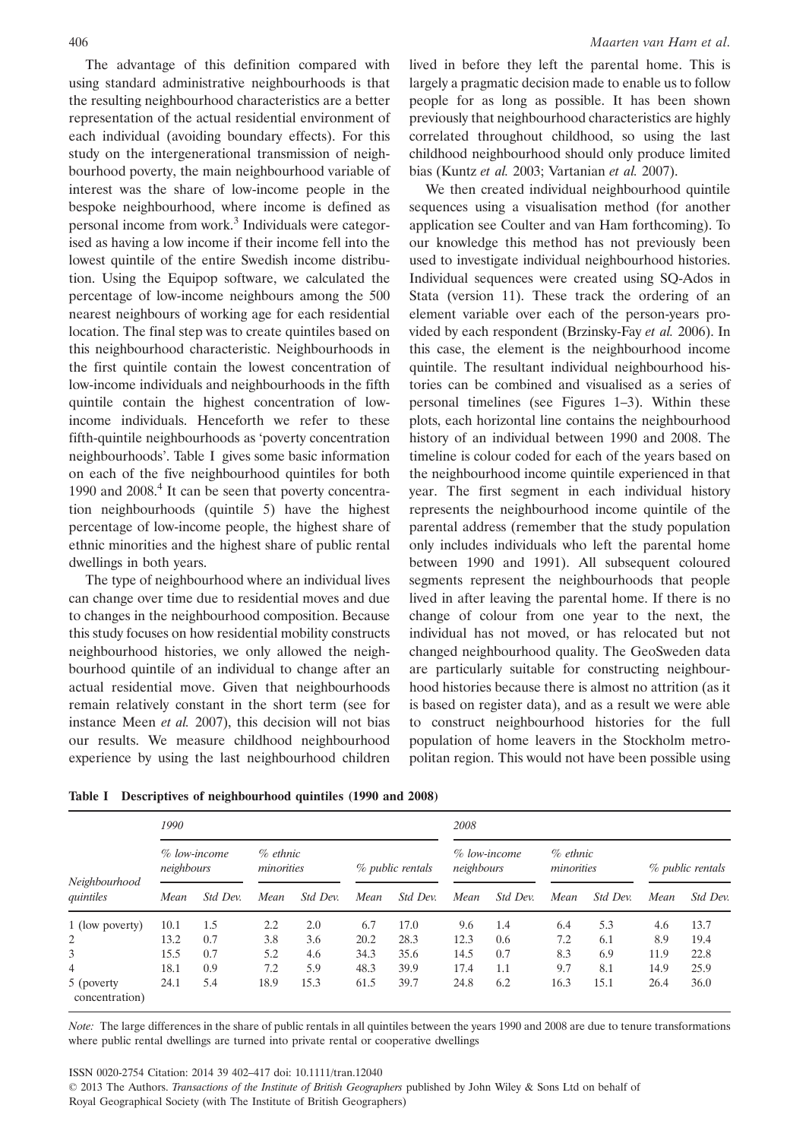The advantage of this definition compared with using standard administrative neighbourhoods is that the resulting neighbourhood characteristics are a better representation of the actual residential environment of each individual (avoiding boundary effects). For this study on the intergenerational transmission of neighbourhood poverty, the main neighbourhood variable of interest was the share of low-income people in the bespoke neighbourhood, where income is defined as personal income from work.<sup>3</sup> Individuals were categorised as having a low income if their income fell into the lowest quintile of the entire Swedish income distribution. Using the Equipop software, we calculated the percentage of low-income neighbours among the 500 nearest neighbours of working age for each residential location. The final step was to create quintiles based on this neighbourhood characteristic. Neighbourhoods in the first quintile contain the lowest concentration of low-income individuals and neighbourhoods in the fifth quintile contain the highest concentration of lowincome individuals. Henceforth we refer to these fifth-quintile neighbourhoods as 'poverty concentration neighbourhoods'. Table I gives some basic information on each of the five neighbourhood quintiles for both 1990 and 2008.<sup>4</sup> It can be seen that poverty concentration neighbourhoods (quintile 5) have the highest percentage of low-income people, the highest share of ethnic minorities and the highest share of public rental dwellings in both years.

The type of neighbourhood where an individual lives can change over time due to residential moves and due to changes in the neighbourhood composition. Because this study focuses on how residential mobility constructs neighbourhood histories, we only allowed the neighbourhood quintile of an individual to change after an actual residential move. Given that neighbourhoods remain relatively constant in the short term (see for instance Meen et al. 2007), this decision will not bias our results. We measure childhood neighbourhood experience by using the last neighbourhood children

lived in before they left the parental home. This is largely a pragmatic decision made to enable us to follow people for as long as possible. It has been shown previously that neighbourhood characteristics are highly correlated throughout childhood, so using the last childhood neighbourhood should only produce limited bias (Kuntz et al. 2003; Vartanian et al. 2007).

We then created individual neighbourhood quintile sequences using a visualisation method (for another application see Coulter and van Ham forthcoming). To our knowledge this method has not previously been used to investigate individual neighbourhood histories. Individual sequences were created using SQ-Ados in Stata (version 11). These track the ordering of an element variable over each of the person-years provided by each respondent (Brzinsky-Fay et al. 2006). In this case, the element is the neighbourhood income quintile. The resultant individual neighbourhood histories can be combined and visualised as a series of personal timelines (see Figures 1–3). Within these plots, each horizontal line contains the neighbourhood history of an individual between 1990 and 2008. The timeline is colour coded for each of the years based on the neighbourhood income quintile experienced in that year. The first segment in each individual history represents the neighbourhood income quintile of the parental address (remember that the study population only includes individuals who left the parental home between 1990 and 1991). All subsequent coloured segments represent the neighbourhoods that people lived in after leaving the parental home. If there is no change of colour from one year to the next, the individual has not moved, or has relocated but not changed neighbourhood quality. The GeoSweden data are particularly suitable for constructing neighbourhood histories because there is almost no attrition (as it is based on register data), and as a result we were able to construct neighbourhood histories for the full population of home leavers in the Stockholm metropolitan region. This would not have been possible using

|  |  | Table I Descriptives of neighbourhood quintiles (1990 and 2008) |  |  |
|--|--|-----------------------------------------------------------------|--|--|
|  |  |                                                                 |  |  |

|                              | 1990       |                |                          |          |      |                     | 2008       |                |                           |          |      |                    |
|------------------------------|------------|----------------|--------------------------|----------|------|---------------------|------------|----------------|---------------------------|----------|------|--------------------|
|                              | neighbours | $%$ low-income | $%$ ethnic<br>minorities |          |      | $\%$ public rentals | neighbours | $%$ low-income | $\%$ ethnic<br>minorities |          |      | $%$ public rentals |
| Neighbourhood<br>quintiles   | Mean       | Std Dev.       | Mean                     | Std Dev. | Mean | Std Dev.            | Mean       | Std Dev.       | Mean                      | Std Dev. | Mean | Std Dev.           |
| 1 (low poverty)              | 10.1       | 1.5            | 2.2                      | 2.0      | 6.7  | 17.0                | 9.6        | 1.4            | 6.4                       | 5.3      | 4.6  | 13.7               |
| 2                            | 13.2       | 0.7            | 3.8                      | 3.6      | 20.2 | 28.3                | 12.3       | 0.6            | 7.2                       | 6.1      | 8.9  | 19.4               |
| 3                            | 15.5       | 0.7            | 5.2                      | 4.6      | 34.3 | 35.6                | 14.5       | 0.7            | 8.3                       | 6.9      | 11.9 | 22.8               |
| 4                            | 18.1       | 0.9            | 7.2                      | 5.9      | 48.3 | 39.9                | 17.4       | 1.1            | 9.7                       | 8.1      | 14.9 | 25.9               |
| 5 (poverty<br>concentration) | 24.1       | 5.4            | 18.9                     | 15.3     | 61.5 | 39.7                | 24.8       | 6.2            | 16.3                      | 15.1     | 26.4 | 36.0               |

Note: The large differences in the share of public rentals in all quintiles between the years 1990 and 2008 are due to tenure transformations where public rental dwellings are turned into private rental or cooperative dwellings

ISSN 0020-2754 Citation: 2014 39 402–417 doi: 10.1111/tran.12040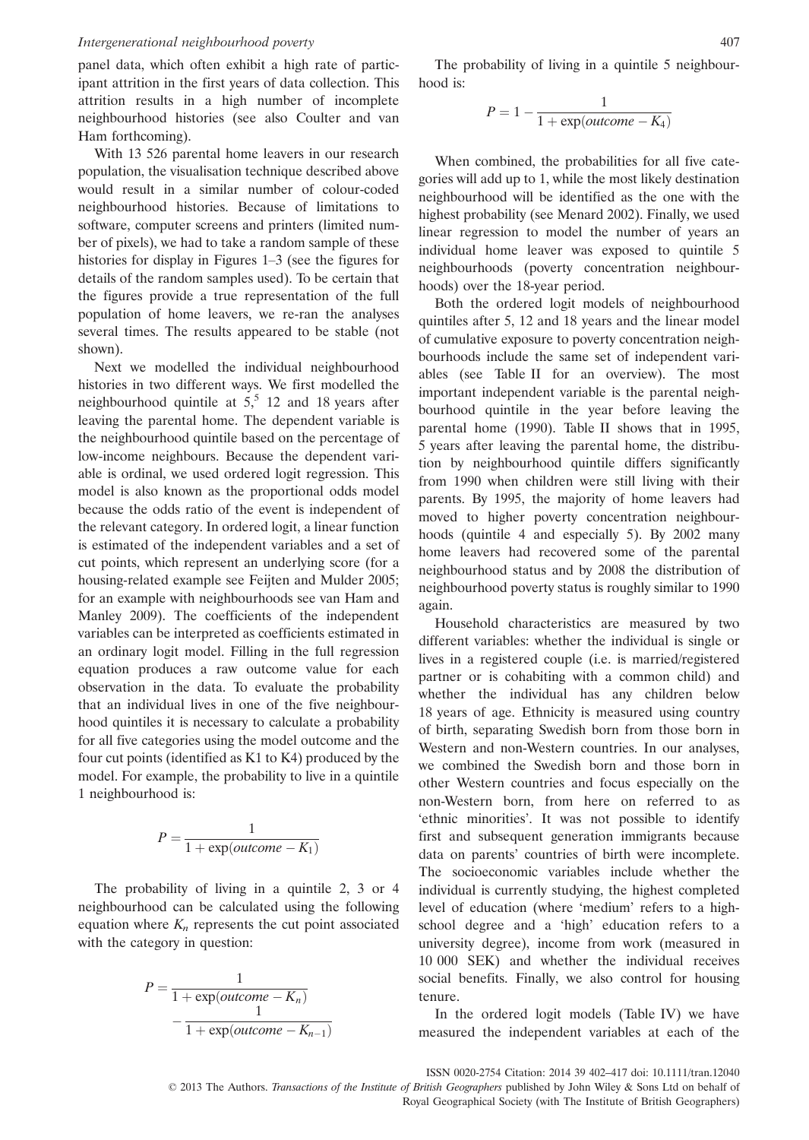panel data, which often exhibit a high rate of participant attrition in the first years of data collection. This attrition results in a high number of incomplete neighbourhood histories (see also Coulter and van Ham forthcoming).

With 13 526 parental home leavers in our research population, the visualisation technique described above would result in a similar number of colour-coded neighbourhood histories. Because of limitations to software, computer screens and printers (limited number of pixels), we had to take a random sample of these histories for display in Figures 1–3 (see the figures for details of the random samples used). To be certain that the figures provide a true representation of the full population of home leavers, we re-ran the analyses several times. The results appeared to be stable (not shown).

Next we modelled the individual neighbourhood histories in two different ways. We first modelled the neighbourhood quintile at  $5<sup>5</sup>$  12 and 18 years after leaving the parental home. The dependent variable is the neighbourhood quintile based on the percentage of low-income neighbours. Because the dependent variable is ordinal, we used ordered logit regression. This model is also known as the proportional odds model because the odds ratio of the event is independent of the relevant category. In ordered logit, a linear function is estimated of the independent variables and a set of cut points, which represent an underlying score (for a housing-related example see Feijten and Mulder 2005; for an example with neighbourhoods see van Ham and Manley 2009). The coefficients of the independent variables can be interpreted as coefficients estimated in an ordinary logit model. Filling in the full regression equation produces a raw outcome value for each observation in the data. To evaluate the probability that an individual lives in one of the five neighbourhood quintiles it is necessary to calculate a probability for all five categories using the model outcome and the four cut points (identified as K1 to K4) produced by the model. For example, the probability to live in a quintile 1 neighbourhood is:

$$
P = \frac{1}{1 + \exp(outcome - K_1)}
$$

The probability of living in a quintile 2, 3 or 4 neighbourhood can be calculated using the following equation where  $K_n$  represents the cut point associated with the category in question:

$$
P = \frac{1}{1 + \exp(\text{outcome} - K_n)}
$$
  
- 
$$
\frac{1}{1 + \exp(\text{outcome} - K_{n-1})}
$$

The probability of living in a quintile 5 neighbourhood is:

$$
P = 1 - \frac{1}{1 + \exp(outcome - K_4)}
$$

When combined, the probabilities for all five categories will add up to 1, while the most likely destination neighbourhood will be identified as the one with the highest probability (see Menard 2002). Finally, we used linear regression to model the number of years an individual home leaver was exposed to quintile 5 neighbourhoods (poverty concentration neighbourhoods) over the 18-year period.

Both the ordered logit models of neighbourhood quintiles after 5, 12 and 18 years and the linear model of cumulative exposure to poverty concentration neighbourhoods include the same set of independent variables (see Table II for an overview). The most important independent variable is the parental neighbourhood quintile in the year before leaving the parental home (1990). Table II shows that in 1995, 5 years after leaving the parental home, the distribution by neighbourhood quintile differs significantly from 1990 when children were still living with their parents. By 1995, the majority of home leavers had moved to higher poverty concentration neighbourhoods (quintile 4 and especially 5). By 2002 many home leavers had recovered some of the parental neighbourhood status and by 2008 the distribution of neighbourhood poverty status is roughly similar to 1990 again.

Household characteristics are measured by two different variables: whether the individual is single or lives in a registered couple (i.e. is married/registered partner or is cohabiting with a common child) and whether the individual has any children below 18 years of age. Ethnicity is measured using country of birth, separating Swedish born from those born in Western and non-Western countries. In our analyses, we combined the Swedish born and those born in other Western countries and focus especially on the non-Western born, from here on referred to as 'ethnic minorities'. It was not possible to identify first and subsequent generation immigrants because data on parents' countries of birth were incomplete. The socioeconomic variables include whether the individual is currently studying, the highest completed level of education (where 'medium' refers to a highschool degree and a 'high' education refers to a university degree), income from work (measured in 10 000 SEK) and whether the individual receives social benefits. Finally, we also control for housing tenure.

In the ordered logit models (Table IV) we have measured the independent variables at each of the

ISSN 0020-2754 Citation: 2014 39 402–417 doi: 10.1111/tran.12040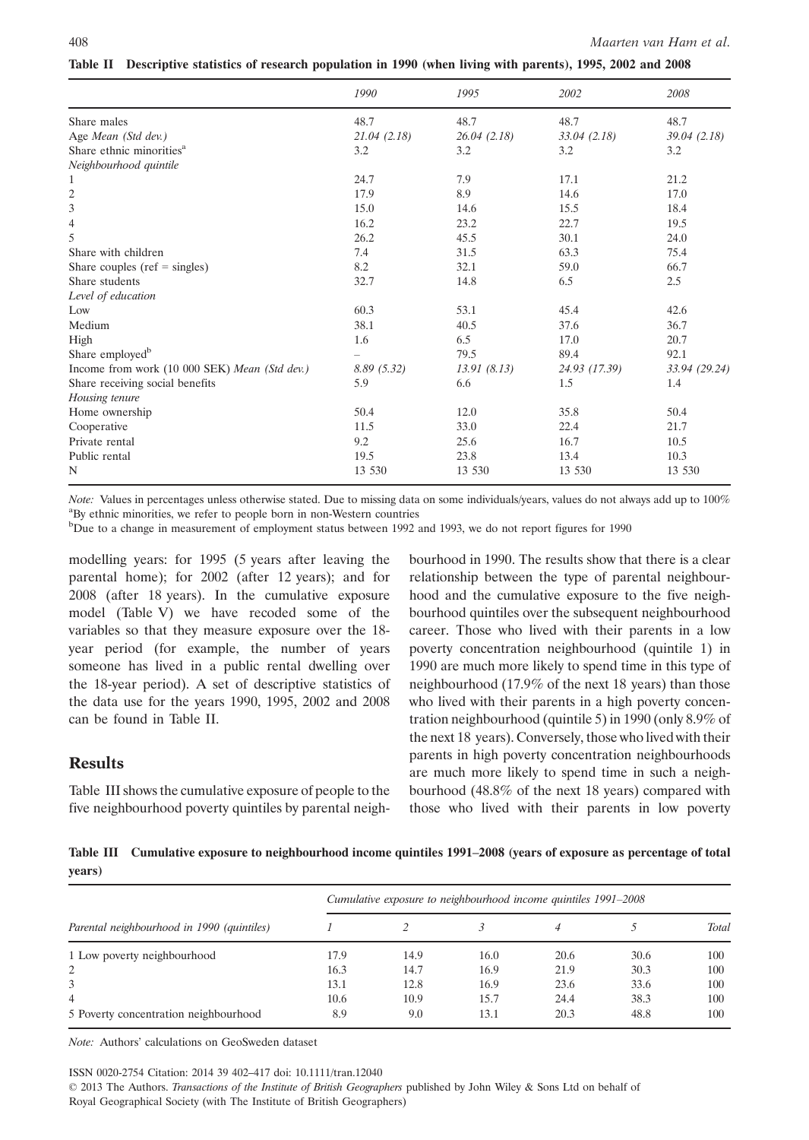|  |  | Table II Descriptive statistics of research population in 1990 (when living with parents), 1995, 2002 and 2008 |  |  |  |
|--|--|----------------------------------------------------------------------------------------------------------------|--|--|--|
|--|--|----------------------------------------------------------------------------------------------------------------|--|--|--|

|                                               | 1990        | 1995         | 2002          | 2008          |
|-----------------------------------------------|-------------|--------------|---------------|---------------|
| Share males                                   | 48.7        | 48.7         | 48.7          | 48.7          |
| Age Mean (Std dev.)                           | 21.04(2.18) | 26.04(2.18)  | 33.04(2.18)   | 39.04(2.18)   |
| Share ethnic minorities <sup>a</sup>          | 3.2         | 3.2          | 3.2           | 3.2           |
| Neighbourhood quintile                        |             |              |               |               |
| 1                                             | 24.7        | 7.9          | 17.1          | 21.2          |
| 2                                             | 17.9        | 8.9          | 14.6          | 17.0          |
| 3                                             | 15.0        | 14.6         | 15.5          | 18.4          |
| $\overline{4}$                                | 16.2        | 23.2         | 22.7          | 19.5          |
| 5                                             | 26.2        | 45.5         | 30.1          | 24.0          |
| Share with children                           | 7.4         | 31.5         | 63.3          | 75.4          |
| Share couples ( $ref = singles$ )             | 8.2         | 32.1         | 59.0          | 66.7          |
| Share students                                | 32.7        | 14.8         | 6.5           | 2.5           |
| Level of education                            |             |              |               |               |
| Low                                           | 60.3        | 53.1         | 45.4          | 42.6          |
| Medium                                        | 38.1        | 40.5         | 37.6          | 36.7          |
| High                                          | 1.6         | 6.5          | 17.0          | 20.7          |
| Share employed <sup>b</sup>                   |             | 79.5         | 89.4          | 92.1          |
| Income from work (10 000 SEK) Mean (Std dev.) | 8.89 (5.32) | 13.91 (8.13) | 24.93 (17.39) | 33.94 (29.24) |
| Share receiving social benefits               | 5.9         | 6.6          | 1.5           | 1.4           |
| Housing tenure                                |             |              |               |               |
| Home ownership                                | 50.4        | 12.0         | 35.8          | 50.4          |
| Cooperative                                   | 11.5        | 33.0         | 22.4          | 21.7          |
| Private rental                                | 9.2         | 25.6         | 16.7          | 10.5          |
| Public rental                                 | 19.5        | 23.8         | 13.4          | 10.3          |
| N                                             | 13 530      | 13 530       | 13 530        | 13 530        |

Note: Values in percentages unless otherwise stated. Due to missing data on some individuals/years, values do not always add up to 100% <sup>a</sup>By ethnic minorities, we refer to people born in non-Western countries

<sup>b</sup>Due to a change in measurement of employment status between 1992 and 1993, we do not report figures for 1990

modelling years: for 1995 (5 years after leaving the parental home); for 2002 (after 12 years); and for 2008 (after 18 years). In the cumulative exposure model (Table V) we have recoded some of the variables so that they measure exposure over the 18 year period (for example, the number of years someone has lived in a public rental dwelling over the 18-year period). A set of descriptive statistics of the data use for the years 1990, 1995, 2002 and 2008 can be found in Table II.

# Results

Table III shows the cumulative exposure of people to the five neighbourhood poverty quintiles by parental neighbourhood in 1990. The results show that there is a clear relationship between the type of parental neighbourhood and the cumulative exposure to the five neighbourhood quintiles over the subsequent neighbourhood career. Those who lived with their parents in a low poverty concentration neighbourhood (quintile 1) in 1990 are much more likely to spend time in this type of neighbourhood (17.9% of the next 18 years) than those who lived with their parents in a high poverty concentration neighbourhood (quintile 5) in 1990 (only 8.9% of the next 18 years). Conversely, those who lived with their parents in high poverty concentration neighbourhoods are much more likely to spend time in such a neighbourhood (48.8% of the next 18 years) compared with those who lived with their parents in low poverty

Table III Cumulative exposure to neighbourhood income quintiles 1991–2008 (years of exposure as percentage of total years)

|                                            |      |      | Cumulative exposure to neighbourhood income quintiles 1991-2008 |      |      |              |
|--------------------------------------------|------|------|-----------------------------------------------------------------|------|------|--------------|
| Parental neighbourhood in 1990 (quintiles) |      |      |                                                                 |      |      | <b>Total</b> |
| 1 Low poverty neighbourhood                | 17.9 | 14.9 | 16.0                                                            | 20.6 | 30.6 | 100          |
| 2                                          | 16.3 | 14.7 | 16.9                                                            | 21.9 | 30.3 | 100          |
|                                            | 13.1 | 12.8 | 16.9                                                            | 23.6 | 33.6 | 100          |
| 4                                          | 10.6 | 10.9 | 15.7                                                            | 24.4 | 38.3 | 100          |
| 5 Poverty concentration neighbourhood      | 8.9  | 9.0  | 13.1                                                            | 20.3 | 48.8 | 100          |

Note: Authors' calculations on GeoSweden dataset

ISSN 0020-2754 Citation: 2014 39 402–417 doi: 10.1111/tran.12040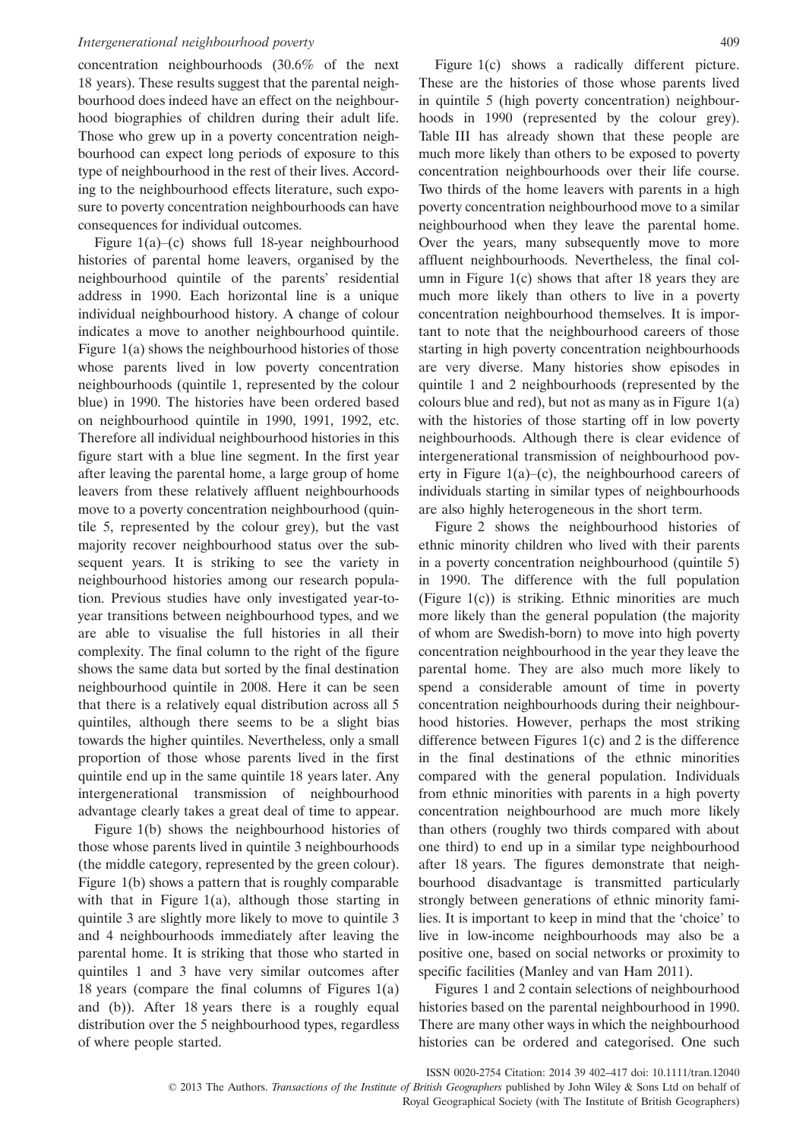concentration neighbourhoods (30.6% of the next 18 years). These results suggest that the parental neighbourhood does indeed have an effect on the neighbourhood biographies of children during their adult life. Those who grew up in a poverty concentration neighbourhood can expect long periods of exposure to this type of neighbourhood in the rest of their lives. According to the neighbourhood effects literature, such exposure to poverty concentration neighbourhoods can have consequences for individual outcomes.

Figure  $1(a)$ –(c) shows full 18-year neighbourhood histories of parental home leavers, organised by the neighbourhood quintile of the parents' residential address in 1990. Each horizontal line is a unique individual neighbourhood history. A change of colour indicates a move to another neighbourhood quintile. Figure 1(a) shows the neighbourhood histories of those whose parents lived in low poverty concentration neighbourhoods (quintile 1, represented by the colour blue) in 1990. The histories have been ordered based on neighbourhood quintile in 1990, 1991, 1992, etc. Therefore all individual neighbourhood histories in this figure start with a blue line segment. In the first year after leaving the parental home, a large group of home leavers from these relatively affluent neighbourhoods move to a poverty concentration neighbourhood (quintile 5, represented by the colour grey), but the vast majority recover neighbourhood status over the subsequent years. It is striking to see the variety in neighbourhood histories among our research population. Previous studies have only investigated year-toyear transitions between neighbourhood types, and we are able to visualise the full histories in all their complexity. The final column to the right of the figure shows the same data but sorted by the final destination neighbourhood quintile in 2008. Here it can be seen that there is a relatively equal distribution across all 5 quintiles, although there seems to be a slight bias towards the higher quintiles. Nevertheless, only a small proportion of those whose parents lived in the first quintile end up in the same quintile 18 years later. Any intergenerational transmission of neighbourhood advantage clearly takes a great deal of time to appear.

Figure 1(b) shows the neighbourhood histories of those whose parents lived in quintile 3 neighbourhoods (the middle category, represented by the green colour). Figure 1(b) shows a pattern that is roughly comparable with that in Figure 1(a), although those starting in quintile 3 are slightly more likely to move to quintile 3 and 4 neighbourhoods immediately after leaving the parental home. It is striking that those who started in quintiles 1 and 3 have very similar outcomes after 18 years (compare the final columns of Figures 1(a) and (b)). After 18 years there is a roughly equal distribution over the 5 neighbourhood types, regardless of where people started.

Figure 1(c) shows a radically different picture. These are the histories of those whose parents lived in quintile 5 (high poverty concentration) neighbourhoods in 1990 (represented by the colour grey). Table III has already shown that these people are much more likely than others to be exposed to poverty concentration neighbourhoods over their life course. Two thirds of the home leavers with parents in a high poverty concentration neighbourhood move to a similar neighbourhood when they leave the parental home. Over the years, many subsequently move to more affluent neighbourhoods. Nevertheless, the final column in Figure 1(c) shows that after 18 years they are much more likely than others to live in a poverty concentration neighbourhood themselves. It is important to note that the neighbourhood careers of those starting in high poverty concentration neighbourhoods are very diverse. Many histories show episodes in quintile 1 and 2 neighbourhoods (represented by the colours blue and red), but not as many as in Figure 1(a) with the histories of those starting off in low poverty neighbourhoods. Although there is clear evidence of intergenerational transmission of neighbourhood poverty in Figure  $1(a)$ –(c), the neighbourhood careers of individuals starting in similar types of neighbourhoods are also highly heterogeneous in the short term.

Figure 2 shows the neighbourhood histories of ethnic minority children who lived with their parents in a poverty concentration neighbourhood (quintile 5) in 1990. The difference with the full population (Figure 1(c)) is striking. Ethnic minorities are much more likely than the general population (the majority of whom are Swedish-born) to move into high poverty concentration neighbourhood in the year they leave the parental home. They are also much more likely to spend a considerable amount of time in poverty concentration neighbourhoods during their neighbourhood histories. However, perhaps the most striking difference between Figures 1(c) and 2 is the difference in the final destinations of the ethnic minorities compared with the general population. Individuals from ethnic minorities with parents in a high poverty concentration neighbourhood are much more likely than others (roughly two thirds compared with about one third) to end up in a similar type neighbourhood after 18 years. The figures demonstrate that neighbourhood disadvantage is transmitted particularly strongly between generations of ethnic minority families. It is important to keep in mind that the 'choice' to live in low-income neighbourhoods may also be a positive one, based on social networks or proximity to specific facilities (Manley and van Ham 2011).

Figures 1 and 2 contain selections of neighbourhood histories based on the parental neighbourhood in 1990. There are many other ways in which the neighbourhood histories can be ordered and categorised. One such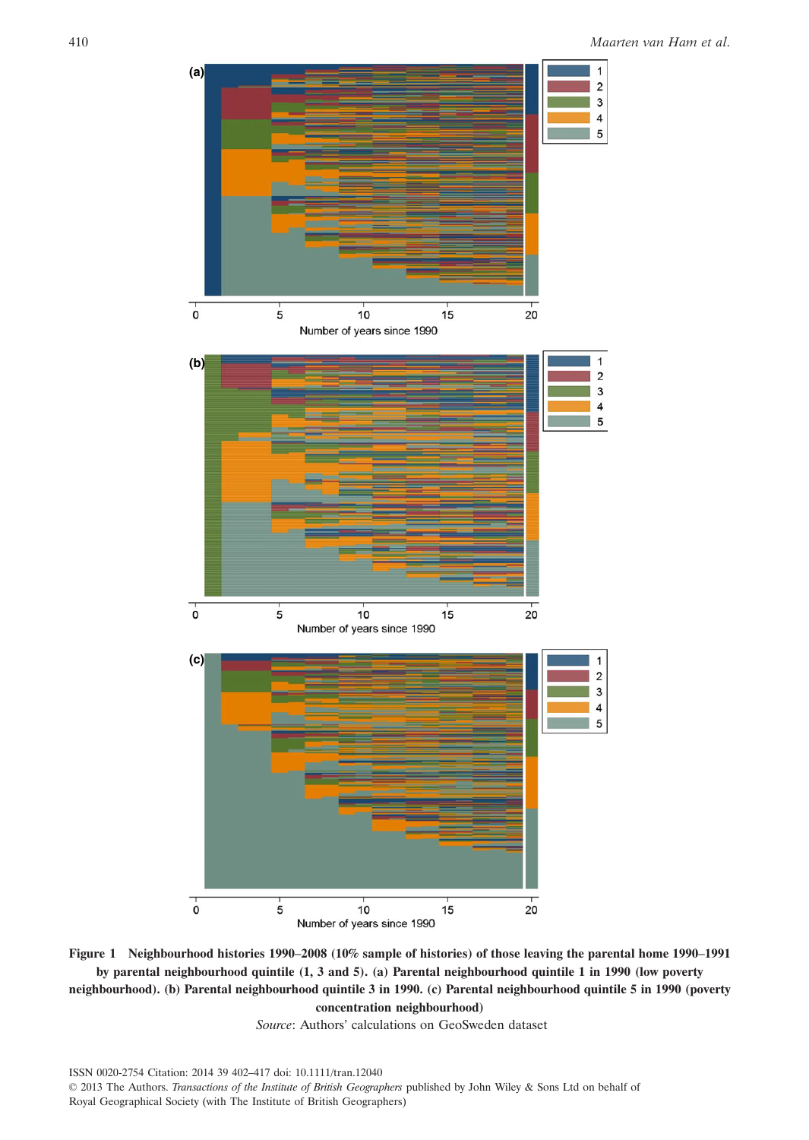

Figure 1 Neighbourhood histories 1990–2008 (10% sample of histories) of those leaving the parental home 1990–1991 by parental neighbourhood quintile (1, 3 and 5). (a) Parental neighbourhood quintile 1 in 1990 (low poverty neighbourhood). (b) Parental neighbourhood quintile 3 in 1990. (c) Parental neighbourhood quintile 5 in 1990 (poverty concentration neighbourhood)

Source: Authors' calculations on GeoSweden dataset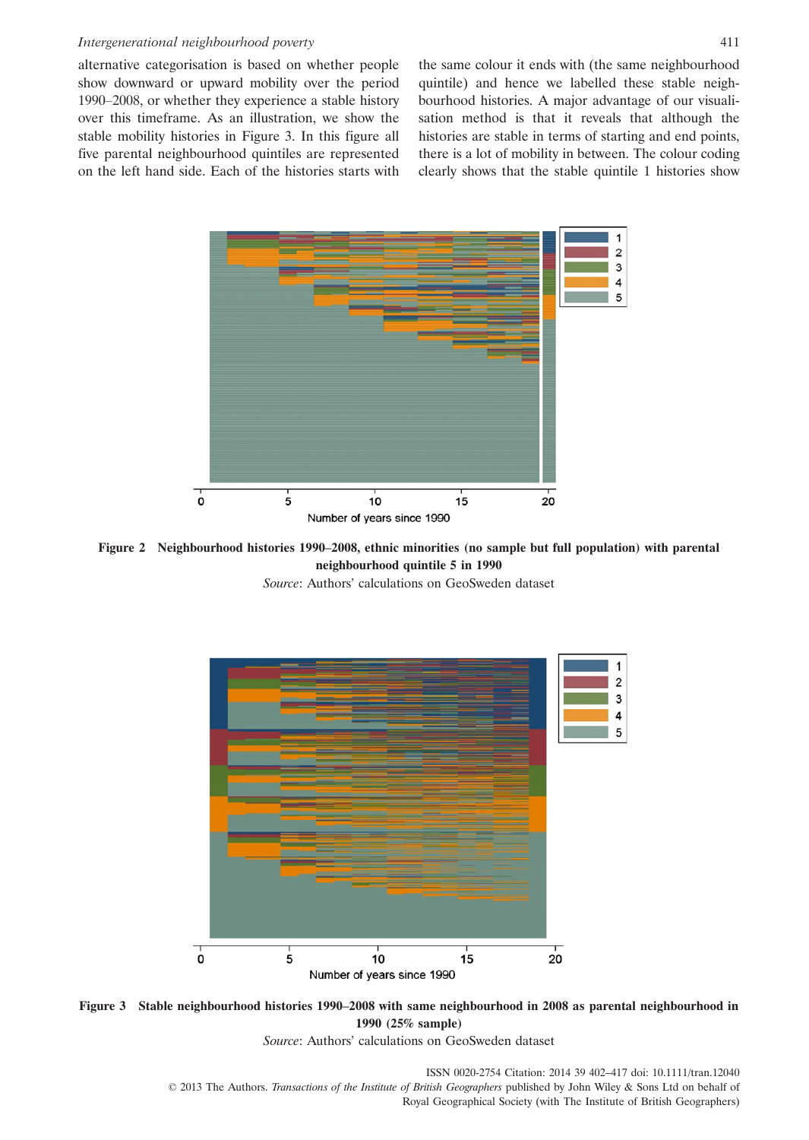alternative categorisation is based on whether people show downward or upward mobility over the period 1990–2008, or whether they experience a stable history over this timeframe. As an illustration, we show the stable mobility histories in Figure 3. In this figure all five parental neighbourhood quintiles are represented on the left hand side. Each of the histories starts with the same colour it ends with (the same neighbourhood quintile) and hence we labelled these stable neighbourhood histories. A major advantage of our visualisation method is that it reveals that although the histories are stable in terms of starting and end points, there is a lot of mobility in between. The colour coding clearly shows that the stable quintile 1 histories show



Figure 2 Neighbourhood histories 1990–2008, ethnic minorities (no sample but full population) with parental neighbourhood quintile 5 in 1990 Source: Authors' calculations on GeoSweden dataset



Figure 3 Stable neighbourhood histories 1990–2008 with same neighbourhood in 2008 as parental neighbourhood in 1990 (25% sample)

Source: Authors' calculations on GeoSweden dataset

ISSN 0020-2754 Citation: 2014 39 402–417 doi: 10.1111/tran.12040 © 2013 The Authors. Transactions of the Institute of British Geographers published by John Wiley & Sons Ltd on behalf of Royal Geographical Society (with The Institute of British Geographers)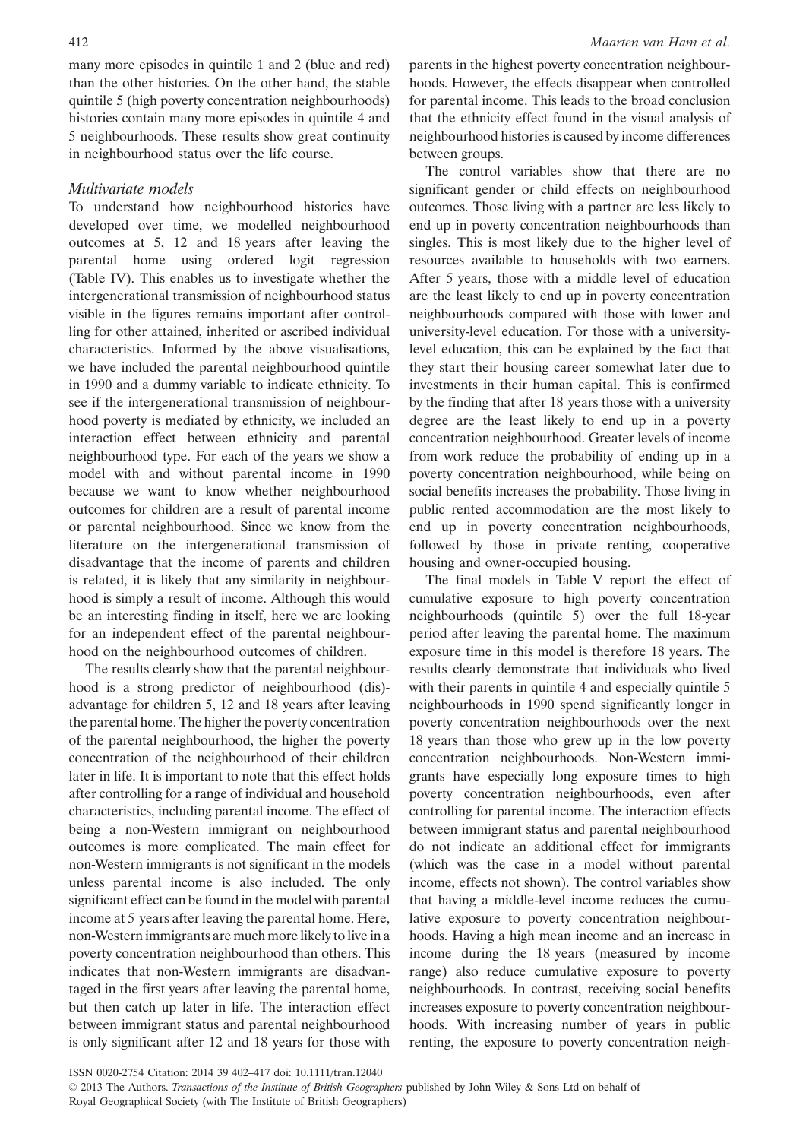many more episodes in quintile 1 and 2 (blue and red) than the other histories. On the other hand, the stable quintile 5 (high poverty concentration neighbourhoods) histories contain many more episodes in quintile 4 and 5 neighbourhoods. These results show great continuity in neighbourhood status over the life course.

#### Multivariate models

To understand how neighbourhood histories have developed over time, we modelled neighbourhood outcomes at 5, 12 and 18 years after leaving the parental home using ordered logit regression (Table IV). This enables us to investigate whether the intergenerational transmission of neighbourhood status visible in the figures remains important after controlling for other attained, inherited or ascribed individual characteristics. Informed by the above visualisations, we have included the parental neighbourhood quintile in 1990 and a dummy variable to indicate ethnicity. To see if the intergenerational transmission of neighbourhood poverty is mediated by ethnicity, we included an interaction effect between ethnicity and parental neighbourhood type. For each of the years we show a model with and without parental income in 1990 because we want to know whether neighbourhood outcomes for children are a result of parental income or parental neighbourhood. Since we know from the literature on the intergenerational transmission of disadvantage that the income of parents and children is related, it is likely that any similarity in neighbourhood is simply a result of income. Although this would be an interesting finding in itself, here we are looking for an independent effect of the parental neighbourhood on the neighbourhood outcomes of children.

The results clearly show that the parental neighbourhood is a strong predictor of neighbourhood (dis) advantage for children 5, 12 and 18 years after leaving the parental home. The higher the poverty concentration of the parental neighbourhood, the higher the poverty concentration of the neighbourhood of their children later in life. It is important to note that this effect holds after controlling for a range of individual and household characteristics, including parental income. The effect of being a non-Western immigrant on neighbourhood outcomes is more complicated. The main effect for non-Western immigrants is not significant in the models unless parental income is also included. The only significant effect can be found in the model with parental income at 5 years after leaving the parental home. Here, non-Western immigrants are much more likely to live in a poverty concentration neighbourhood than others. This indicates that non-Western immigrants are disadvantaged in the first years after leaving the parental home, but then catch up later in life. The interaction effect between immigrant status and parental neighbourhood is only significant after 12 and 18 years for those with

parents in the highest poverty concentration neighbourhoods. However, the effects disappear when controlled for parental income. This leads to the broad conclusion that the ethnicity effect found in the visual analysis of neighbourhood histories is caused by income differences between groups.

The control variables show that there are no significant gender or child effects on neighbourhood outcomes. Those living with a partner are less likely to end up in poverty concentration neighbourhoods than singles. This is most likely due to the higher level of resources available to households with two earners. After 5 years, those with a middle level of education are the least likely to end up in poverty concentration neighbourhoods compared with those with lower and university-level education. For those with a universitylevel education, this can be explained by the fact that they start their housing career somewhat later due to investments in their human capital. This is confirmed by the finding that after 18 years those with a university degree are the least likely to end up in a poverty concentration neighbourhood. Greater levels of income from work reduce the probability of ending up in a poverty concentration neighbourhood, while being on social benefits increases the probability. Those living in public rented accommodation are the most likely to end up in poverty concentration neighbourhoods, followed by those in private renting, cooperative housing and owner-occupied housing.

The final models in Table V report the effect of cumulative exposure to high poverty concentration neighbourhoods (quintile 5) over the full 18-year period after leaving the parental home. The maximum exposure time in this model is therefore 18 years. The results clearly demonstrate that individuals who lived with their parents in quintile 4 and especially quintile 5 neighbourhoods in 1990 spend significantly longer in poverty concentration neighbourhoods over the next 18 years than those who grew up in the low poverty concentration neighbourhoods. Non-Western immigrants have especially long exposure times to high poverty concentration neighbourhoods, even after controlling for parental income. The interaction effects between immigrant status and parental neighbourhood do not indicate an additional effect for immigrants (which was the case in a model without parental income, effects not shown). The control variables show that having a middle-level income reduces the cumulative exposure to poverty concentration neighbourhoods. Having a high mean income and an increase in income during the 18 years (measured by income range) also reduce cumulative exposure to poverty neighbourhoods. In contrast, receiving social benefits increases exposure to poverty concentration neighbourhoods. With increasing number of years in public renting, the exposure to poverty concentration neigh-

<sup>©</sup> 2013 The Authors. Transactions of the Institute of British Geographers published by John Wiley & Sons Ltd on behalf of Royal Geographical Society (with The Institute of British Geographers)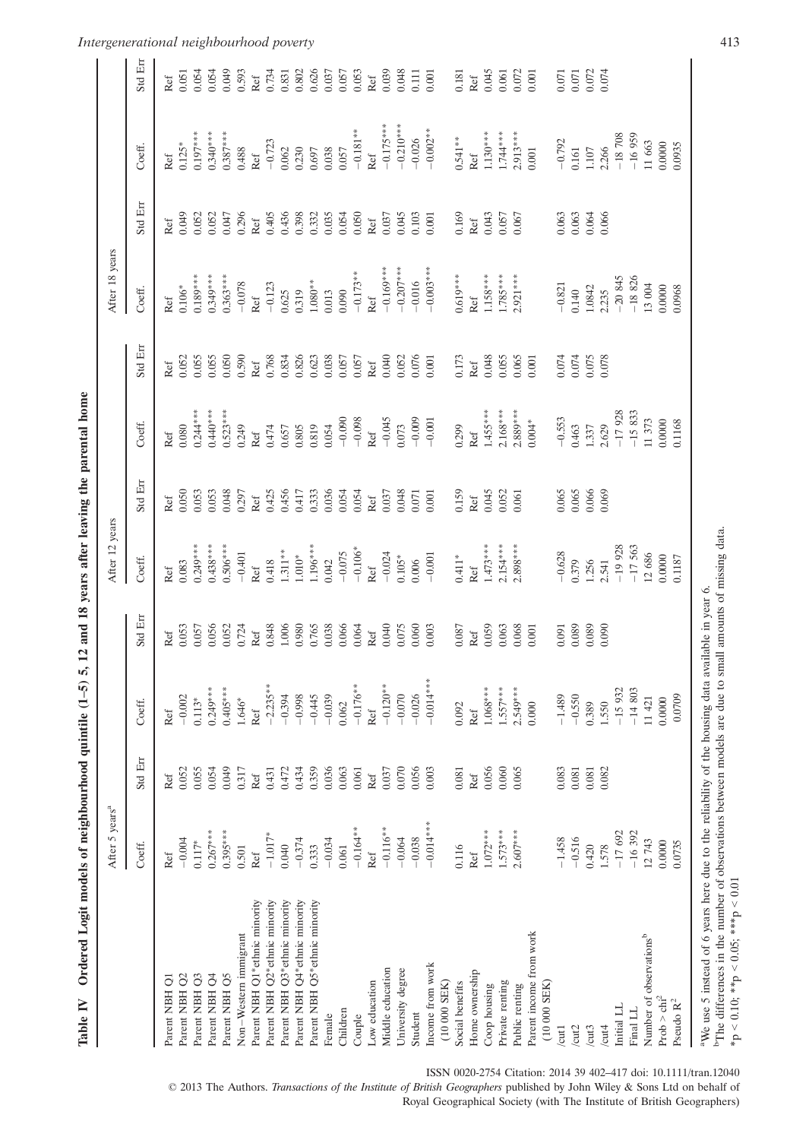| Ordered Logit models of neighbourhood quintile $(1-5)$ 5, 12 and 18 years after leaving the parental home<br>Table IV |                            |                                               |                      |                      |                |                    |            |                  |                |                |                     |                |
|-----------------------------------------------------------------------------------------------------------------------|----------------------------|-----------------------------------------------|----------------------|----------------------|----------------|--------------------|------------|------------------|----------------|----------------|---------------------|----------------|
|                                                                                                                       | After 5 years <sup>a</sup> |                                               |                      |                      | After 12 years |                    |            |                  | After 18 years |                |                     |                |
|                                                                                                                       | Coeff.                     | Std Err                                       | Coeff.               | Std Err              | Coeff.         | Std Err            | Coeff.     | Std Err          | Coeff.         | Std Err        | Coeff.              | Std Err        |
| Parent NBH QI                                                                                                         | Ref                        | $\operatorname{Ref}$                          | Ref                  | Ref                  | Ref            | Ref                | Ref        | Ref              | Ref            | Ref            | Ref                 | Ref            |
| Parent NBH Q2                                                                                                         | $-0.004$                   | 0.052                                         | $-0.002$             | 0.53                 | 0.083          | 0.050              | 0.080      | 0.052            | $0.106*$       | 0.049          | $0.125*$            | 0.051          |
| Parent NBH Q3                                                                                                         | $0.117*$                   | 0.055                                         | $0.113*$             | 0.057                | $0.249***$     | 0.53               | $0.244***$ | 0.55             | $0.189***$     | 0.052          | $0.197***$          | 0.054          |
| Parent NBH Q4                                                                                                         | $0.267***$                 | $0.054$<br>0.049                              | $0.249***$           | 0.056                | $0.438***$     | 0.53               | $0.440***$ | 0.055            | $0.349***$     | 0.052          | $0.340***$          | 0.054          |
| Parent NBH Q5                                                                                                         | $0.395***$                 |                                               | $0.405***$           | 0.052                | $0.506***$     | 0.048              | $0.523***$ | 0.050            | $0.363***$     | 0.047          | $0.387***$          | 0.049          |
| Non-Western immigrant                                                                                                 | 0.501                      | $0.317$ Ref                                   | 1.646*               | 0.724                | $-0.401$       | 0.297              | 0.249      | 0.590            | $-0.078$       | 0.296          | 0.488               | 0.593          |
| Parent NBH Q1*ethnic minority                                                                                         | Ref                        |                                               | Ref                  | Ref                  | Ref            | Ref                | Ref        | Ref              | Ref            | Ref            | Ref                 | Ref            |
| Parent NBH Q2*ethnic minority                                                                                         | $-1.017*$                  | 0.431                                         | $-2.235**$<br>-0.394 | 0.848                | 0.418          | 0.456              | 0.474      | 0.768<br>0.834   | $-0.123$       | 0.405          | $-0.723$            | 0.734<br>0.831 |
| Parent NBH Q3*ethnic minority                                                                                         | 0.040                      | $0.472$<br>0.434                              |                      |                      | $1.311***$     |                    | 0.657      |                  | 0.625          | 0.436          | 0.062               |                |
| Parent NBH Q4*ethnic minority                                                                                         | $-0.374$                   |                                               | $-0.998$             | 0.980                | $1.010*$       | 0.417              | 0.805      | 0.826            | 0.319          | 0.398          | 0.230               | 0.802          |
| Parent NBH Q5*ethnic minority                                                                                         | 0.333                      | .359                                          | $-0.445$             | 0.765                | $1.196***$     | 0.333              | 0.819      | 0.623            | $1.080**$      | 0.332          | 0.697               | 0.626          |
| Female                                                                                                                | $-0.034$                   | 0.036                                         | $-0.039$             | 0.038                | 0.042          | $0.036$<br>$0.054$ | 0.054      | 0.038<br>0.057   | 0.013          | 0.035<br>0.054 | 0.038               | 0.037          |
| Children                                                                                                              | 0.061                      | 0.063                                         | 0.062                | 0.066                | $-0.075$       |                    | $-0.090$   |                  | 0.090          |                | 1.057               | 0.057          |
| Couple                                                                                                                | $-0.164**$                 | 0.061                                         | $-0.176**$           | 0.064                | $-0.106*$      | 0.054              | $-0.098$   | 0.057            | $-0.173**$     | 0.050          | $-0.181**$          | 0.053          |
| Low education                                                                                                         | Ref                        | Ref                                           | Ref                  | Ref                  | Ref            | Ref                | Ref        | Ref              | Ref            | Ref            | Ref                 | Ref            |
| Middle education                                                                                                      | $-0.116**$                 | $\begin{array}{c} 0.037 \\ 0.070 \end{array}$ | $-0.120**$           | 0.040<br>0.075       | $-0.024$       | 0.037              | $-0.045$   | 0.040<br>0.052   | $-0.169***$    | 0.037          | $-0.175***$         | 0.039          |
| University degree                                                                                                     | $-0.064$                   |                                               | $-0.070$             |                      | $0.105*$       | 0.048              | 0.073      |                  | $-0.207***$    | 0.045          | $-0.210***$         | 0.048          |
| Student                                                                                                               | $-0.038$                   | 0.056                                         | $-0.026$             | $0.060$<br>$0.003$   | 0.006          | 0.071              | $-0.009$   | $0.076$<br>0.001 | $-0.016$       | 0.103          | $-0.026$            | 0.111          |
| Income from work                                                                                                      | $-0.014***$                | 0.003                                         | $-0.014***$          |                      | $-0.001$       | 0.001              | $-0.001$   |                  | $-0.003***$    | 0.001          | $-0.002**$          | 0.001          |
| $(10000$ SEK)                                                                                                         |                            |                                               |                      |                      |                |                    |            |                  |                |                |                     |                |
| Social benefits                                                                                                       | 0.116                      | 0.081                                         | 0.092                | 0.087                | $0.411*$       | 0.159              | 0.299      | $0.173$<br>Ref   | $0.619***$     | 0.169          | $0.541***$          | $0.181$<br>Ref |
| Home ownership                                                                                                        | Ref                        | Ref                                           | Ref                  | $\operatorname{Ref}$ | Ref            | Ref                | Ref        |                  | Ref            | Ref            | Ref                 |                |
| Coop housing                                                                                                          | $1.072***$                 | 0.056                                         | $1.068***$           | 0.059                | $1.473***$     | 0.045              | $1.455***$ | 0.048            | $1.158***$     | 0.043          | $1.130***$          | 0.045          |
| Private renting                                                                                                       | $1.573***$                 | 0.060                                         | $1.557***$           | 0.063                | $2.154***$     | $0.052$<br>$0.061$ | $2.168***$ | 0.055<br>0.065   | $1.785***$     | 0.057          | $1.744***$          | 0.061          |
| Public renting                                                                                                        | $2.607***$                 | 0.065                                         | $2.549***$           | 0.068                | $2.898***$     |                    | $2.889***$ |                  | $2.921***$     | 0.067          | $2.913***$<br>0.001 | 0.072          |
| Parent income from work                                                                                               |                            |                                               | 0.000                | 0.001                |                |                    | $0.004*$   | 0.001            |                |                |                     | 0.001          |
| $(10000$ SEK)                                                                                                         |                            |                                               |                      |                      |                |                    |            |                  |                |                |                     |                |
| /cut1                                                                                                                 | $-1.458$                   | 0.083                                         | $-1.489$<br>$-0.550$ | 0.091                | $-0.628$       | 0.065<br>0.065     | $-0.553$   | 0.74             | $-0.821$       | 0.063          | $-0.792$            | 0.071          |
| /cut2                                                                                                                 | $-0.516$                   | 0.081                                         |                      | 0.089                | 0.379          |                    | 0.463      | 0.074            | 0.140          | 0.063          | 1.161               | 0.071          |
| /cut3                                                                                                                 | 0.420                      | 0.081                                         | 0.389                | 0.089                | 1.256          | 0.066<br>0.069     | 1.337      | 0.075            | 1.0842         | 0.064          | $1.107\,$           | 0.072          |
| /cut4                                                                                                                 | 1.578                      | $0.082\,$                                     | 1.550                | 0.090                | 2.541          |                    | 2.629      | 0.078            | 2.235          | 0.066          | 2.266               | 0.074          |
| Initial LL                                                                                                            | $-17692$                   |                                               | $-15932$             |                      | $-19938$       |                    | $-17928$   |                  | $-20845$       |                | $-18\,708$          |                |
| Final LL                                                                                                              | $-16392$                   |                                               | $-14803$             |                      | $-17563$       |                    | $-15833$   |                  | $-18826$       |                | $-16959$            |                |
| Number of observations <sup>b</sup>                                                                                   | 12743                      |                                               | 11 421               |                      | 12686          |                    | 11373      |                  | 13 004         |                | 11 663              |                |
| Prob > chi <sup>2</sup>                                                                                               | 0.0000                     |                                               | 0.0000               |                      | 0.0000         |                    | 0.0000     |                  | 0.0000         |                | 0.0000              |                |
| Pseudo $\mathbf{R}^2$                                                                                                 | 0.0735                     |                                               | 0.0709               |                      | 0.1187         |                    | 0.1168     |                  | 0.0968         |                | 0.0935              |                |
|                                                                                                                       |                            |                                               |                      |                      |                |                    |            |                  |                |                |                     |                |

ISSN 0020-2754 Citation: 2014 39 402 –417 doi: 10.1111/tran.12040

aWe use 5 instead of 6 years here due to the reliability of the housing data available in year 6. bThe differences in the number of observations between models are due to small amounts of missing data.

"We use 5 instead of 6 years here due to the reliability of the housing data available in year 6.

°The differences in the number of observations between models are due to small amounts of missing data. \*  $p$  < 0.10; \* \*  $p$  < 0.05; \* \*  $p$  < 0.01

 $*p < 0.10$ ;  $**p < 0.05$ ;  $***p < 0.01$ 

© 2013 The Authors. Transactions of the Institute of British Geographers published by John Wiley & Sons Ltd on behalf of Royal Geographical Society (with The Institute of British Geographers)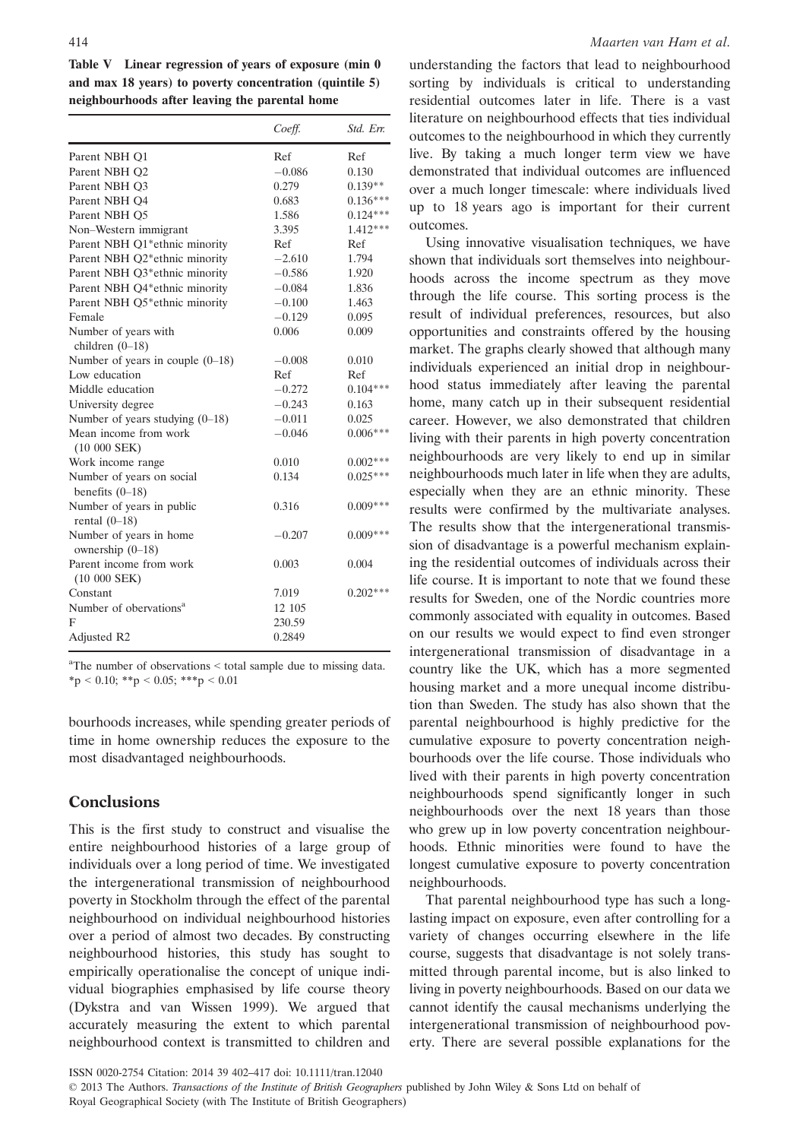Table V Linear regression of years of exposure (min 0 and max 18 years) to poverty concentration (quintile 5) neighbourhoods after leaving the parental home

|                                                        | Coeff.   | Std. Err.  |
|--------------------------------------------------------|----------|------------|
| Parent NBH O1                                          | Ref      | Ref        |
| Parent NBH Q2                                          | $-0.086$ | 0.130      |
| Parent NBH Q3                                          | 0.279    | $0.139**$  |
| Parent NBH O4                                          | 0.683    | $0.136***$ |
| Parent NBH O5                                          | 1.586    | $0.124***$ |
| Non-Western immigrant                                  | 3.395    | $1.412***$ |
| Parent NBH Q1*ethnic minority                          | Ref      | Ref        |
| Parent NBH Q2*ethnic minority                          | $-2.610$ | 1.794      |
| Parent NBH Q3*ethnic minority                          | $-0.586$ | 1.920      |
| Parent NBH O4*ethnic minority                          | $-0.084$ | 1.836      |
| Parent NBH Q5*ethnic minority                          | $-0.100$ | 1.463      |
| Female                                                 | $-0.129$ | 0.095      |
| Number of years with                                   | 0.006    | 0.009      |
| children $(0-18)$                                      |          |            |
| Number of years in couple $(0-18)$                     | $-0.008$ | 0.010      |
| Low education                                          | Ref      | Ref        |
| Middle education                                       | $-0.272$ | $0.104***$ |
| University degree                                      | $-0.243$ | 0.163      |
| Number of years studying $(0-18)$                      | $-0.011$ | 0.025      |
| Mean income from work                                  | $-0.046$ | $0.006***$ |
| $(10000$ SEK)                                          |          |            |
| Work income range                                      | 0.010    | $0.002***$ |
| Number of years on social                              | 0.134    | $0.025***$ |
| benefits $(0-18)$                                      |          |            |
| Number of years in public<br>rental $(0-18)$           | 0.316    | $0.009***$ |
| Number of years in home<br>ownership $(0-18)$          | $-0.207$ | $0.009***$ |
| Parent income from work<br>$(10\ 000\  \, \text{SEK})$ | 0.003    | 0.004      |
| Constant                                               | 7.019    | $0.202***$ |
| Number of obervations <sup>a</sup>                     | 12 105   |            |
| F                                                      | 230.59   |            |
| Adjusted R2                                            | 0.2849   |            |

<sup>a</sup>The number of observations < total sample due to missing data.  $*p < 0.10; **p < 0.05; **p < 0.01$ 

bourhoods increases, while spending greater periods of time in home ownership reduces the exposure to the most disadvantaged neighbourhoods.

#### **Conclusions**

This is the first study to construct and visualise the entire neighbourhood histories of a large group of individuals over a long period of time. We investigated the intergenerational transmission of neighbourhood poverty in Stockholm through the effect of the parental neighbourhood on individual neighbourhood histories over a period of almost two decades. By constructing neighbourhood histories, this study has sought to empirically operationalise the concept of unique individual biographies emphasised by life course theory (Dykstra and van Wissen 1999). We argued that accurately measuring the extent to which parental neighbourhood context is transmitted to children and

understanding the factors that lead to neighbourhood sorting by individuals is critical to understanding residential outcomes later in life. There is a vast literature on neighbourhood effects that ties individual outcomes to the neighbourhood in which they currently live. By taking a much longer term view we have demonstrated that individual outcomes are influenced over a much longer timescale: where individuals lived up to 18 years ago is important for their current outcomes.

Using innovative visualisation techniques, we have shown that individuals sort themselves into neighbourhoods across the income spectrum as they move through the life course. This sorting process is the result of individual preferences, resources, but also opportunities and constraints offered by the housing market. The graphs clearly showed that although many individuals experienced an initial drop in neighbourhood status immediately after leaving the parental home, many catch up in their subsequent residential career. However, we also demonstrated that children living with their parents in high poverty concentration neighbourhoods are very likely to end up in similar neighbourhoods much later in life when they are adults, especially when they are an ethnic minority. These results were confirmed by the multivariate analyses. The results show that the intergenerational transmission of disadvantage is a powerful mechanism explaining the residential outcomes of individuals across their life course. It is important to note that we found these results for Sweden, one of the Nordic countries more commonly associated with equality in outcomes. Based on our results we would expect to find even stronger intergenerational transmission of disadvantage in a country like the UK, which has a more segmented housing market and a more unequal income distribution than Sweden. The study has also shown that the parental neighbourhood is highly predictive for the cumulative exposure to poverty concentration neighbourhoods over the life course. Those individuals who lived with their parents in high poverty concentration neighbourhoods spend significantly longer in such neighbourhoods over the next 18 years than those who grew up in low poverty concentration neighbourhoods. Ethnic minorities were found to have the longest cumulative exposure to poverty concentration neighbourhoods.

That parental neighbourhood type has such a longlasting impact on exposure, even after controlling for a variety of changes occurring elsewhere in the life course, suggests that disadvantage is not solely transmitted through parental income, but is also linked to living in poverty neighbourhoods. Based on our data we cannot identify the causal mechanisms underlying the intergenerational transmission of neighbourhood poverty. There are several possible explanations for the

<sup>© 2013</sup> The Authors. Transactions of the Institute of British Geographers published by John Wiley & Sons Ltd on behalf of Royal Geographical Society (with The Institute of British Geographers)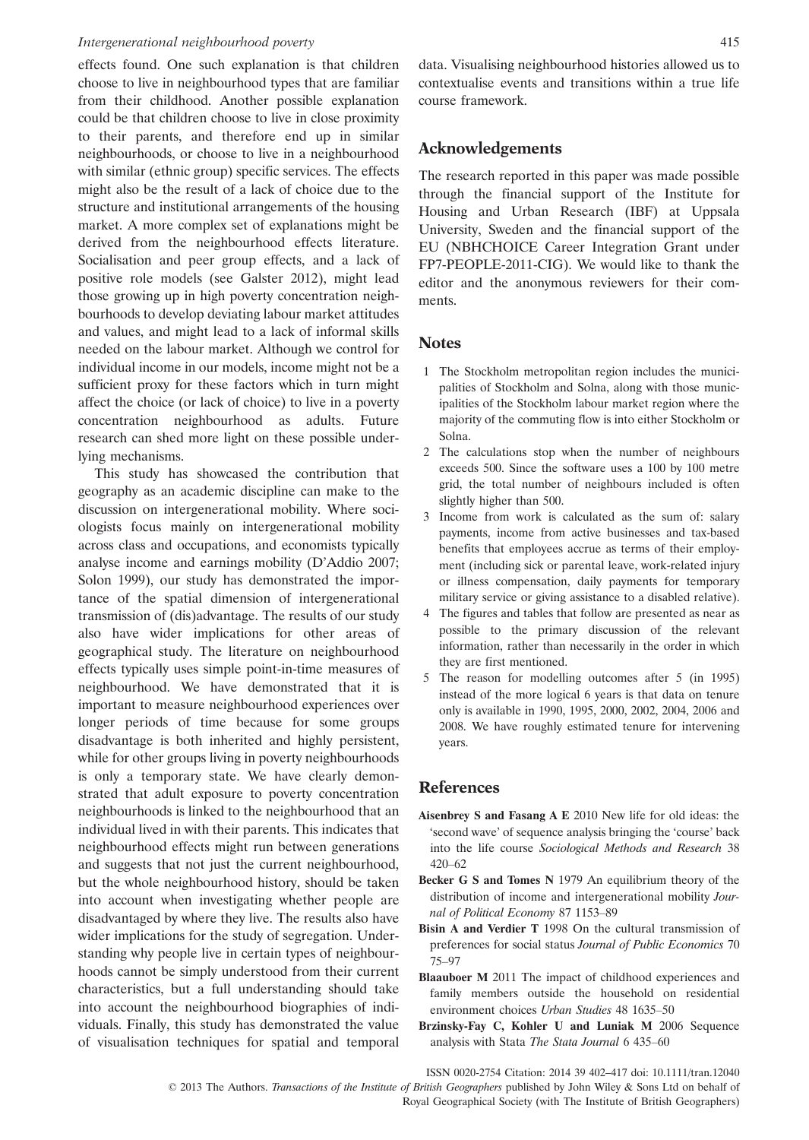effects found. One such explanation is that children choose to live in neighbourhood types that are familiar from their childhood. Another possible explanation could be that children choose to live in close proximity to their parents, and therefore end up in similar neighbourhoods, or choose to live in a neighbourhood with similar (ethnic group) specific services. The effects might also be the result of a lack of choice due to the structure and institutional arrangements of the housing market. A more complex set of explanations might be derived from the neighbourhood effects literature. Socialisation and peer group effects, and a lack of positive role models (see Galster 2012), might lead those growing up in high poverty concentration neighbourhoods to develop deviating labour market attitudes and values, and might lead to a lack of informal skills needed on the labour market. Although we control for individual income in our models, income might not be a sufficient proxy for these factors which in turn might affect the choice (or lack of choice) to live in a poverty concentration neighbourhood as adults. Future research can shed more light on these possible underlying mechanisms.

This study has showcased the contribution that geography as an academic discipline can make to the discussion on intergenerational mobility. Where sociologists focus mainly on intergenerational mobility across class and occupations, and economists typically analyse income and earnings mobility (D'Addio 2007; Solon 1999), our study has demonstrated the importance of the spatial dimension of intergenerational transmission of (dis)advantage. The results of our study also have wider implications for other areas of geographical study. The literature on neighbourhood effects typically uses simple point-in-time measures of neighbourhood. We have demonstrated that it is important to measure neighbourhood experiences over longer periods of time because for some groups disadvantage is both inherited and highly persistent, while for other groups living in poverty neighbourhoods is only a temporary state. We have clearly demonstrated that adult exposure to poverty concentration neighbourhoods is linked to the neighbourhood that an individual lived in with their parents. This indicates that neighbourhood effects might run between generations and suggests that not just the current neighbourhood, but the whole neighbourhood history, should be taken into account when investigating whether people are disadvantaged by where they live. The results also have wider implications for the study of segregation. Understanding why people live in certain types of neighbourhoods cannot be simply understood from their current characteristics, but a full understanding should take into account the neighbourhood biographies of individuals. Finally, this study has demonstrated the value of visualisation techniques for spatial and temporal

data. Visualising neighbourhood histories allowed us to contextualise events and transitions within a true life course framework.

## Acknowledgements

The research reported in this paper was made possible through the financial support of the Institute for Housing and Urban Research (IBF) at Uppsala University, Sweden and the financial support of the EU (NBHCHOICE Career Integration Grant under FP7-PEOPLE-2011-CIG). We would like to thank the editor and the anonymous reviewers for their comments.

# **Notes**

- 1 The Stockholm metropolitan region includes the municipalities of Stockholm and Solna, along with those municipalities of the Stockholm labour market region where the majority of the commuting flow is into either Stockholm or Solna.
- 2 The calculations stop when the number of neighbours exceeds 500. Since the software uses a 100 by 100 metre grid, the total number of neighbours included is often slightly higher than 500.
- 3 Income from work is calculated as the sum of: salary payments, income from active businesses and tax-based benefits that employees accrue as terms of their employment (including sick or parental leave, work-related injury or illness compensation, daily payments for temporary military service or giving assistance to a disabled relative).
- 4 The figures and tables that follow are presented as near as possible to the primary discussion of the relevant information, rather than necessarily in the order in which they are first mentioned.
- 5 The reason for modelling outcomes after 5 (in 1995) instead of the more logical 6 years is that data on tenure only is available in 1990, 1995, 2000, 2002, 2004, 2006 and 2008. We have roughly estimated tenure for intervening years.

#### References

- Aisenbrey S and Fasang A E 2010 New life for old ideas: the 'second wave' of sequence analysis bringing the 'course' back into the life course Sociological Methods and Research 38 420–62
- Becker G S and Tomes N 1979 An equilibrium theory of the distribution of income and intergenerational mobility Journal of Political Economy 87 1153–89
- Bisin A and Verdier T 1998 On the cultural transmission of preferences for social status Journal of Public Economics 70 75–97
- Blaauboer M 2011 The impact of childhood experiences and family members outside the household on residential environment choices Urban Studies 48 1635–50
- Brzinsky-Fay C, Kohler U and Luniak M 2006 Sequence analysis with Stata The Stata Journal 6 435–60

ISSN 0020-2754 Citation: 2014 39 402–417 doi: 10.1111/tran.12040

© 2013 The Authors. Transactions of the Institute of British Geographers published by John Wiley & Sons Ltd on behalf of

Royal Geographical Society (with The Institute of British Geographers)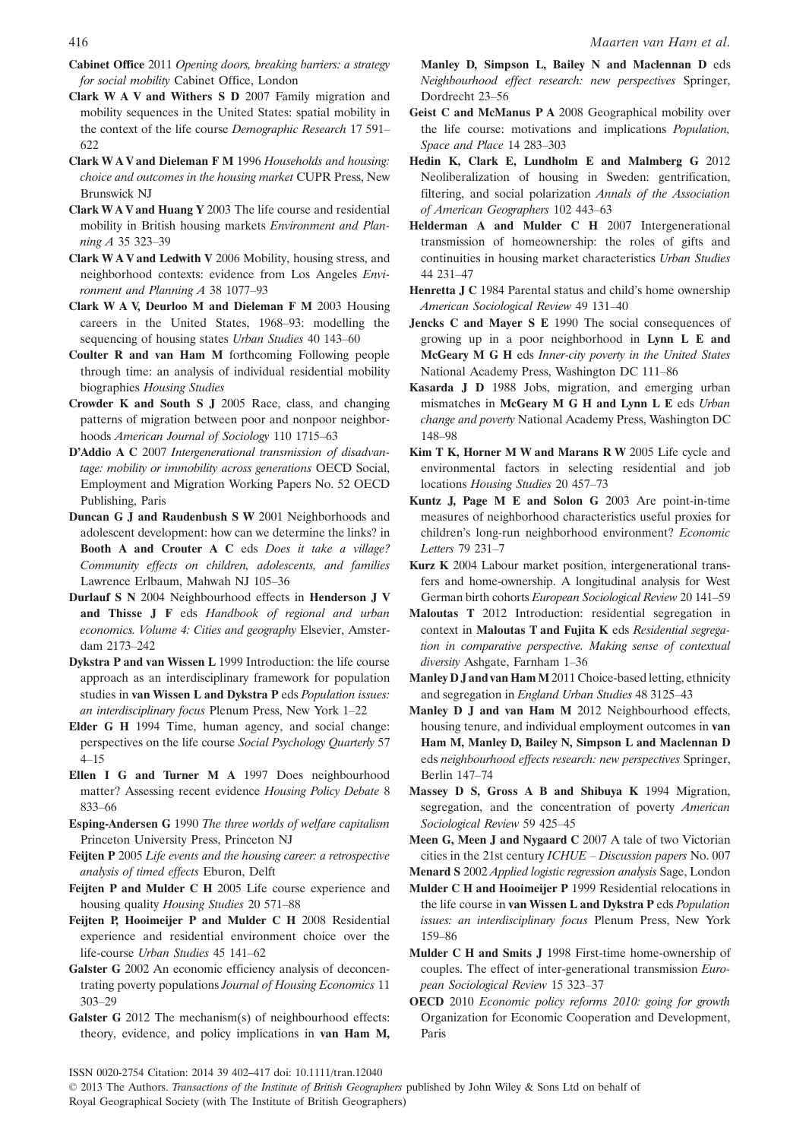- Cabinet Office 2011 Opening doors, breaking barriers: a strategy for social mobility Cabinet Office, London
- Clark W A V and Withers S D 2007 Family migration and mobility sequences in the United States: spatial mobility in the context of the life course Demographic Research 17 591– 622
- Clark W A V and Dieleman F M 1996 Households and housing: choice and outcomes in the housing market CUPR Press, New Brunswick NJ
- Clark W A V and Huang Y 2003 The life course and residential mobility in British housing markets Environment and Planning A 35 323–39
- Clark W A V and Ledwith V 2006 Mobility, housing stress, and neighborhood contexts: evidence from Los Angeles Environment and Planning A 38 1077–93
- Clark W A V, Deurloo M and Dieleman F M 2003 Housing careers in the United States, 1968–93: modelling the sequencing of housing states Urban Studies 40 143–60
- Coulter R and van Ham M forthcoming Following people through time: an analysis of individual residential mobility biographies Housing Studies
- Crowder K and South S J 2005 Race, class, and changing patterns of migration between poor and nonpoor neighborhoods American Journal of Sociology 110 1715–63
- D'Addio A C 2007 Intergenerational transmission of disadvantage: mobility or immobility across generations OECD Social, Employment and Migration Working Papers No. 52 OECD Publishing, Paris
- Duncan G J and Raudenbush S W 2001 Neighborhoods and adolescent development: how can we determine the links? in Booth A and Crouter A C eds Does it take a village? Community effects on children, adolescents, and families Lawrence Erlbaum, Mahwah NJ 105–36
- Durlauf S N 2004 Neighbourhood effects in Henderson J V and Thisse J F eds Handbook of regional and urban economics. Volume 4: Cities and geography Elsevier, Amsterdam 2173–242
- Dykstra P and van Wissen L 1999 Introduction: the life course approach as an interdisciplinary framework for population studies in van Wissen L and Dykstra P eds Population issues: an interdisciplinary focus Plenum Press, New York 1–22
- Elder G H 1994 Time, human agency, and social change: perspectives on the life course Social Psychology Quarterly 57 4–15
- Ellen I G and Turner M A 1997 Does neighbourhood matter? Assessing recent evidence Housing Policy Debate 8 833–66
- Esping-Andersen G 1990 The three worlds of welfare capitalism Princeton University Press, Princeton NJ
- Feijten P 2005 Life events and the housing career: a retrospective analysis of timed effects Eburon, Delft
- Feijten P and Mulder C H 2005 Life course experience and housing quality Housing Studies 20 571–88
- Feijten P, Hooimeijer P and Mulder C H 2008 Residential experience and residential environment choice over the life-course Urban Studies 45 141–62
- Galster G 2002 An economic efficiency analysis of deconcentrating poverty populations Journal of Housing Economics 11 303–29
- Galster G 2012 The mechanism(s) of neighbourhood effects: theory, evidence, and policy implications in van Ham M,

Manley D, Simpson L, Bailey N and Maclennan D eds Neighbourhood effect research: new perspectives Springer, Dordrecht 23–56

- Geist C and McManus P A 2008 Geographical mobility over the life course: motivations and implications Population, Space and Place 14 283–303
- Hedin K, Clark E, Lundholm E and Malmberg G 2012 Neoliberalization of housing in Sweden: gentrification, filtering, and social polarization Annals of the Association of American Geographers 102 443–63
- Helderman A and Mulder C H 2007 Intergenerational transmission of homeownership: the roles of gifts and continuities in housing market characteristics Urban Studies 44 231–47
- Henretta J C 1984 Parental status and child's home ownership American Sociological Review 49 131–40
- Jencks C and Mayer S E 1990 The social consequences of growing up in a poor neighborhood in Lynn L E and McGeary M G H eds Inner-city poverty in the United States National Academy Press, Washington DC 111–86
- Kasarda J D 1988 Jobs, migration, and emerging urban mismatches in McGeary M G H and Lynn L E eds Urban change and poverty National Academy Press, Washington DC 148–98
- Kim T K, Horner M W and Marans R W 2005 Life cycle and environmental factors in selecting residential and job locations Housing Studies 20 457–73
- Kuntz J, Page M E and Solon G 2003 Are point-in-time measures of neighborhood characteristics useful proxies for children's long-run neighborhood environment? Economic Letters 79 231–7
- Kurz K 2004 Labour market position, intergenerational transfers and home-ownership. A longitudinal analysis for West German birth cohorts European Sociological Review 20 141–59
- Maloutas T 2012 Introduction: residential segregation in context in Maloutas T and Fujita K eds Residential segregation in comparative perspective. Making sense of contextual diversity Ashgate, Farnham 1–36
- Manley D J and van Ham M 2011 Choice-based letting, ethnicity and segregation in England Urban Studies 48 3125–43
- Manley D J and van Ham M 2012 Neighbourhood effects, housing tenure, and individual employment outcomes in van Ham M, Manley D, Bailey N, Simpson L and Maclennan D eds neighbourhood effects research: new perspectives Springer, Berlin 147–74
- Massey D S, Gross A B and Shibuya K 1994 Migration, segregation, and the concentration of poverty American Sociological Review 59 425–45

Meen G, Meen J and Nygaard C 2007 A tale of two Victorian cities in the 21st century ICHUE – Discussion papers No. 007

- Menard S 2002 Applied logistic regression analysis Sage, London Mulder C H and Hooimeijer P 1999 Residential relocations in the life course in van Wissen L and Dykstra P eds Population issues: an interdisciplinary focus Plenum Press, New York 159–86
- Mulder C H and Smits J 1998 First-time home-ownership of couples. The effect of inter-generational transmission European Sociological Review 15 323–37
- OECD 2010 Economic policy reforms 2010: going for growth Organization for Economic Cooperation and Development, Paris

ISSN 0020-2754 Citation: 2014 39 402–417 doi: 10.1111/tran.12040